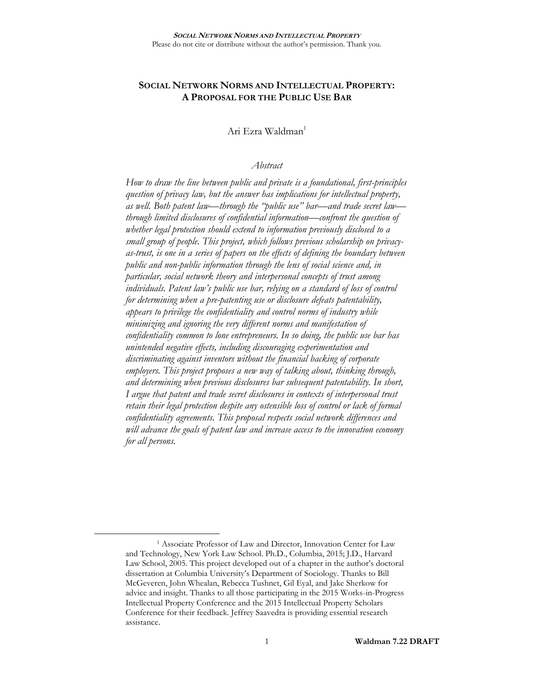# **SOCIAL NETWORK NORMS AND INTELLECTUAL PROPERTY: A PROPOSAL FOR THE PUBLIC USE BAR**

Ari Ezra Waldman<sup>1</sup>

### *Abstract*

*How to draw the line between public and private is a foundational, first-principles question of privacy law, but the answer has implications for intellectual property, as well. Both patent law—through the "public use" bar—and trade secret law through limited disclosures of confidential information—confront the question of whether legal protection should extend to information previously disclosed to a small group of people. This project, which follows previous scholarship on privacyas-trust, is one in a series of papers on the effects of defining the boundary between public and non-public information through the lens of social science and, in particular, social network theory and interpersonal concepts of trust among individuals. Patent law's public use bar, relying on a standard of loss of control for determining when a pre-patenting use or disclosure defeats patentability, appears to privilege the confidentiality and control norms of industry while minimizing and ignoring the very different norms and manifestation of confidentiality common to lone entrepreneurs. In so doing, the public use bar has unintended negative effects, including discouraging experimentation and discriminating against inventors without the financial backing of corporate employers. This project proposes a new way of talking about, thinking through, and determining when previous disclosures bar subsequent patentability. In short, I argue that patent and trade secret disclosures in contexts of interpersonal trust retain their legal protection despite any ostensible loss of control or lack of formal confidentiality agreements. This proposal respects social network differences and will advance the goals of patent law and increase access to the innovation economy for all persons.*

<sup>&</sup>lt;sup>1</sup> Associate Professor of Law and Director, Innovation Center for Law and Technology, New York Law School. Ph.D., Columbia, 2015; J.D., Harvard Law School, 2005. This project developed out of a chapter in the author's doctoral dissertation at Columbia University's Department of Sociology. Thanks to Bill McGeveren, John Whealan, Rebecca Tushnet, Gil Eyal, and Jake Sherkow for advice and insight. Thanks to all those participating in the 2015 Works-in-Progress Intellectual Property Conference and the 2015 Intellectual Property Scholars Conference for their feedback. Jeffrey Saavedra is providing essential research assistance.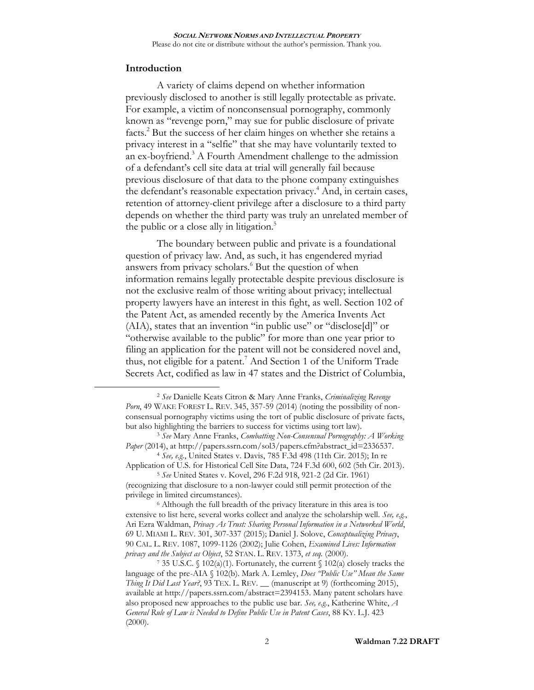### **Introduction**

 $\overline{a}$ 

A variety of claims depend on whether information previously disclosed to another is still legally protectable as private. For example, a victim of nonconsensual pornography, commonly known as "revenge porn," may sue for public disclosure of private facts. <sup>2</sup> But the success of her claim hinges on whether she retains a privacy interest in a "selfie" that she may have voluntarily texted to an ex-boyfriend.<sup>3</sup> A Fourth Amendment challenge to the admission of a defendant's cell site data at trial will generally fail because previous disclosure of that data to the phone company extinguishes the defendant's reasonable expectation privacy.<sup>4</sup> And, in certain cases, retention of attorney-client privilege after a disclosure to a third party depends on whether the third party was truly an unrelated member of the public or a close ally in litigation.<sup>5</sup>

<span id="page-1-0"></span>The boundary between public and private is a foundational question of privacy law. And, as such, it has engendered myriad answers from privacy scholars.<sup>6</sup> But the question of when information remains legally protectable despite previous disclosure is not the exclusive realm of those writing about privacy; intellectual property lawyers have an interest in this fight, as well. Section 102 of the Patent Act, as amended recently by the America Invents Act (AIA), states that an invention "in public use" or "disclose[d]" or "otherwise available to the public" for more than one year prior to filing an application for the patent will not be considered novel and, thus, not eligible for a patent.<sup>7</sup> And Section 1 of the Uniform Trade Secrets Act, codified as law in 47 states and the District of Columbia,

<sup>4</sup> *See, e.g.*, United States v. Davis, 785 F.3d 498 (11th Cir. 2015); In re Application of U.S. for Historical Cell Site Data, 724 F.3d 600, 602 (5th Cir. 2013).

<sup>5</sup> *See* United States v. Kovel, 296 F.2d 918, 921-2 (2d Cir. 1961) (recognizing that disclosure to a non-lawyer could still permit protection of the privilege in limited circumstances).

<sup>6</sup> Although the full breadth of the privacy literature in this area is too extensive to list here, several works collect and analyze the scholarship well. *See, e.g.*, Ari Ezra Waldman, *Privacy As Trust: Sharing Personal Information in a Networked World*, 69 U. MIAMI L. REV. 301, 307-337 (2015); Daniel J. Solove, *Conceptualizing Privacy*, 90 CAL. L. REV. 1087, 1099-1126 (2002); Julie Cohen, *Examined Lives: Information privacy and the Subject as Object*, 52 STAN. L. REV. 1373, *et seq.* (2000).

<span id="page-1-1"></span><sup>2</sup> *See* Danielle Keats Citron & Mary Anne Franks, *Criminalizing Revenge Porn*, 49 WAKE FOREST L. REV. 345, 357-59 (2014) (noting the possibility of nonconsensual pornography victims using the tort of public disclosure of private facts, but also highlighting the barriers to success for victims using tort law).

<sup>3</sup> *See* Mary Anne Franks, *Combatting Non-Consensual Pornography: A Working Paper* (2014), at http://papers.ssrn.com/sol3/papers.cfm?abstract\_id=2336537.

<sup>&</sup>lt;sup>7</sup> 35 U.S.C. § 102(a)(1). Fortunately, the current § 102(a) closely tracks the language of the pre-AIA § 102(b). Mark A. Lemley, *Does "Public Use" Mean the Same Thing It Did Last Year?*, 93 TEX. L. REV. \_\_ (manuscript at 9) (forthcoming 2015), available at http://papers.ssrn.com/abstract=2394153. Many patent scholars have also proposed new approaches to the public use bar. *See, e.g.*, Katherine White, *A General Rule of Law is Needed to Define Public Use in Patent Cases*, 88 KY. L.J. 423  $(2000).$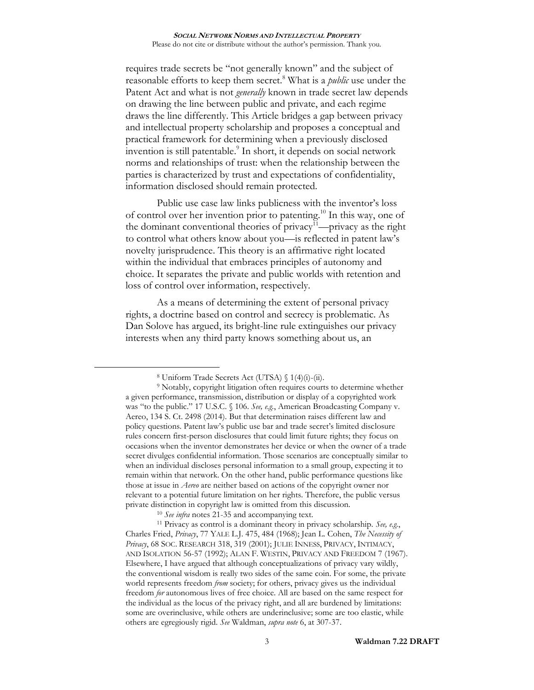requires trade secrets be "not generally known" and the subject of reasonable efforts to keep them secret.<sup>8</sup> What is a *public* use under the Patent Act and what is not *generally* known in trade secret law depends on drawing the line between public and private, and each regime draws the line differently. This Article bridges a gap between privacy and intellectual property scholarship and proposes a conceptual and practical framework for determining when a previously disclosed invention is still patentable. 9 In short, it depends on social network norms and relationships of trust: when the relationship between the parties is characterized by trust and expectations of confidentiality, information disclosed should remain protected.

Public use case law links publicness with the inventor's loss of control over her invention prior to patenting. <sup>10</sup> In this way, one of the dominant conventional theories of privacy<sup>11</sup>—privacy as the right to control what others know about you—is reflected in patent law's novelty jurisprudence. This theory is an affirmative right located within the individual that embraces principles of autonomy and choice. It separates the private and public worlds with retention and loss of control over information, respectively.

As a means of determining the extent of personal privacy rights, a doctrine based on control and secrecy is problematic. As Dan Solove has argued, its bright-line rule extinguishes our privacy interests when any third party knows something about us, an

<sup>8</sup> Uniform Trade Secrets Act (UTSA) § 1(4)(i)-(ii).

<sup>&</sup>lt;sup>9</sup> Notably, copyright litigation often requires courts to determine whether a given performance, transmission, distribution or display of a copyrighted work was "to the public." 17 U.S.C. § 106. *See, e.g.*, American Broadcasting Company v. Aereo, 134 S. Ct. 2498 (2014). But that determination raises different law and policy questions. Patent law's public use bar and trade secret's limited disclosure rules concern first-person disclosures that could limit future rights; they focus on occasions when the inventor demonstrates her device or when the owner of a trade secret divulges confidential information. Those scenarios are conceptually similar to when an individual discloses personal information to a small group, expecting it to remain within that network. On the other hand, public performance questions like those at issue in *Aereo* are neither based on actions of the copyright owner nor relevant to a potential future limitation on her rights. Therefore, the public versus private distinction in copyright law is omitted from this discussion.

<sup>10</sup> *See infra* note[s 21-](#page-6-0)[35](#page-8-0) and accompanying text.

<sup>11</sup> Privacy as control is a dominant theory in privacy scholarship. *See, e.g.*, Charles Fried, *Privacy*, 77 YALE L.J. 475, 484 (1968); Jean L. Cohen, *The Necessity of Privacy*, 68 SOC. RESEARCH 318, 319 (2001); JULIE INNESS, PRIVACY, INTIMACY, AND ISOLATION 56-57 (1992); ALAN F. WESTIN, PRIVACY AND FREEDOM 7 (1967). Elsewhere, I have argued that although conceptualizations of privacy vary wildly, the conventional wisdom is really two sides of the same coin. For some, the private world represents freedom *from* society; for others, privacy gives us the individual freedom *for* autonomous lives of free choice. All are based on the same respect for the individual as the locus of the privacy right, and all are burdened by limitations: some are overinclusive, while others are underinclusive; some are too elastic, while others are egregiously rigid. *See* Waldman, *supra note* [6,](#page-1-0) at 307-37.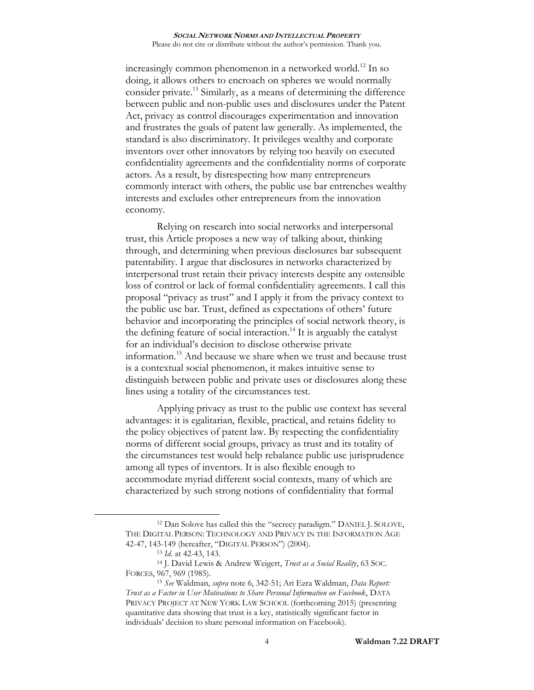<span id="page-3-0"></span>increasingly common phenomenon in a networked world.<sup>12</sup> In so doing, it allows others to encroach on spheres we would normally consider private.<sup>13</sup> Similarly, as a means of determining the difference between public and non-public uses and disclosures under the Patent Act, privacy as control discourages experimentation and innovation and frustrates the goals of patent law generally. As implemented, the standard is also discriminatory. It privileges wealthy and corporate inventors over other innovators by relying too heavily on executed confidentiality agreements and the confidentiality norms of corporate actors. As a result, by disrespecting how many entrepreneurs commonly interact with others, the public use bar entrenches wealthy interests and excludes other entrepreneurs from the innovation economy.

Relying on research into social networks and interpersonal trust, this Article proposes a new way of talking about, thinking through, and determining when previous disclosures bar subsequent patentability. I argue that disclosures in networks characterized by interpersonal trust retain their privacy interests despite any ostensible loss of control or lack of formal confidentiality agreements. I call this proposal "privacy as trust" and I apply it from the privacy context to the public use bar. Trust, defined as expectations of others' future behavior and incorporating the principles of social network theory, is the defining feature of social interaction. <sup>14</sup> It is arguably the catalyst for an individual's decision to disclose otherwise private information.<sup>15</sup> And because we share when we trust and because trust is a contextual social phenomenon, it makes intuitive sense to distinguish between public and private uses or disclosures along these lines using a totality of the circumstances test.

Applying privacy as trust to the public use context has several advantages: it is egalitarian, flexible, practical, and retains fidelity to the policy objectives of patent law. By respecting the confidentiality norms of different social groups, privacy as trust and its totality of the circumstances test would help rebalance public use jurisprudence among all types of inventors. It is also flexible enough to accommodate myriad different social contexts, many of which are characterized by such strong notions of confidentiality that formal

<sup>12</sup> Dan Solove has called this the "secrecy paradigm." DANIEL J. SOLOVE, THE DIGITAL PERSON: TECHNOLOGY AND PRIVACY IN THE INFORMATION AGE 42-47, 143-149 (hereafter, "DIGITAL PERSON") (2004).

<sup>13</sup> *Id*. at 42-43, 143.

<sup>14</sup> J. David Lewis & Andrew Weigert, *Trust as a Social Reality*, 63 SOC. FORCES, 967, 969 (1985).

<sup>15</sup> *See* Waldman, *supra* note [6,](#page-1-0) 342-51; Ari Ezra Waldman, *Data Report: Trust as a Factor in User Motivations to Share Personal Information on Facebook*, DATA PRIVACY PROJECT AT NEW YORK LAW SCHOOL (forthcoming 2015) (presenting quantitative data showing that trust is a key, statistically significant factor in individuals' decision to share personal information on Facebook).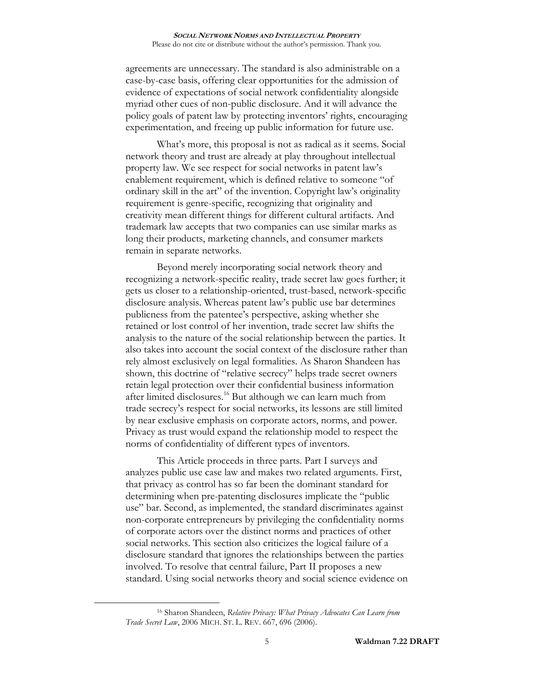agreements are unnecessary. The standard is also administrable on a case-by-case basis, offering clear opportunities for the admission of evidence of expectations of social network confidentiality alongside myriad other cues of non-public disclosure. And it will advance the policy goals of patent law by protecting inventors' rights, encouraging experimentation, and freeing up public information for future use.

What's more, this proposal is not as radical as it seems. Social network theory and trust are already at play throughout intellectual property law. We see respect for social networks in patent law's enablement requirement, which is defined relative to someone "of ordinary skill in the art" of the invention. Copyright law's originality requirement is genre-specific, recognizing that originality and creativity mean different things for different cultural artifacts. And trademark law accepts that two companies can use similar marks as long their products, marketing channels, and consumer markets remain in separate networks.

Beyond merely incorporating social network theory and recognizing a network-specific reality, trade secret law goes further; it gets us closer to a relationship-oriented, trust-based, network-specific disclosure analysis. Whereas patent law's public use bar determines publicness from the patentee's perspective, asking whether she retained or lost control of her invention, trade secret law shifts the analysis to the nature of the social relationship between the parties. It also takes into account the social context of the disclosure rather than rely almost exclusively on legal formalities. As Sharon Shandeen has shown, this doctrine of "relative secrecy" helps trade secret owners retain legal protection over their confidential business information after limited disclosures.<sup>16</sup> But although we can learn much from trade secrecy's respect for social networks, its lessons are still limited by near exclusive emphasis on corporate actors, norms, and power. Privacy as trust would expand the relationship model to respect the norms of confidentiality of different types of inventors.

This Article proceeds in three parts. Part I surveys and analyzes public use case law and makes two related arguments. First, that privacy as control has so far been the dominant standard for determining when pre-patenting disclosures implicate the "public use" bar. Second, as implemented, the standard discriminates against non-corporate entrepreneurs by privileging the confidentiality norms of corporate actors over the distinct norms and practices of other social networks. This section also criticizes the logical failure of a disclosure standard that ignores the relationships between the parties involved. To resolve that central failure, Part II proposes a new standard. Using social networks theory and social science evidence on

<sup>16</sup> Sharon Shandeen, *Relative Privacy: What Privacy Advocates Can Learn from Trade Secret Law*, 2006 MICH. ST. L. REV. 667, 696 (2006).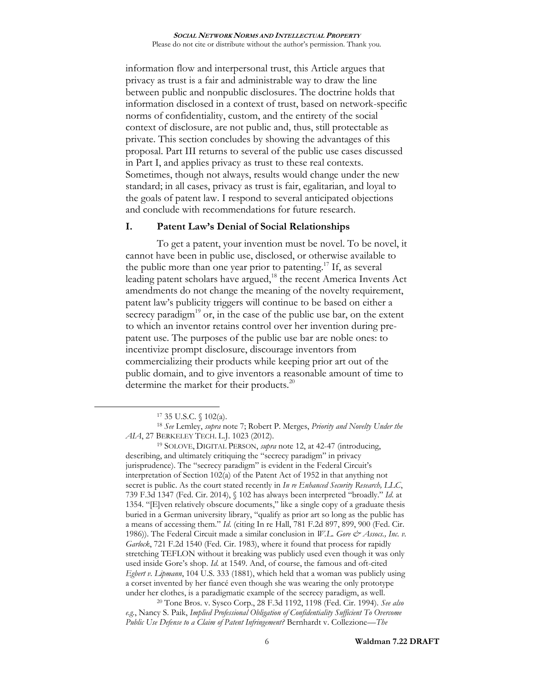information flow and interpersonal trust, this Article argues that privacy as trust is a fair and administrable way to draw the line between public and nonpublic disclosures. The doctrine holds that information disclosed in a context of trust, based on network-specific norms of confidentiality, custom, and the entirety of the social context of disclosure, are not public and, thus, still protectable as private. This section concludes by showing the advantages of this proposal. Part III returns to several of the public use cases discussed in Part I, and applies privacy as trust to these real contexts. Sometimes, though not always, results would change under the new standard; in all cases, privacy as trust is fair, egalitarian, and loyal to the goals of patent law. I respond to several anticipated objections and conclude with recommendations for future research.

## **I. Patent Law's Denial of Social Relationships**

To get a patent, your invention must be novel. To be novel, it cannot have been in public use, disclosed, or otherwise available to the public more than one year prior to patenting.<sup>17</sup> If, as several leading patent scholars have argued,<sup>18</sup> the recent America Invents Act amendments do not change the meaning of the novelty requirement, patent law's publicity triggers will continue to be based on either a secrecy paradigm<sup>19</sup> or, in the case of the public use bar, on the extent to which an inventor retains control over her invention during prepatent use. The purposes of the public use bar are noble ones: to incentivize prompt disclosure, discourage inventors from commercializing their products while keeping prior art out of the public domain, and to give inventors a reasonable amount of time to determine the market for their products.<sup>20</sup>

 $\overline{a}$ 

<sup>19</sup> SOLOVE, DIGITAL PERSON, *supra* note [12,](#page-3-0) at 42-47 (introducing, describing, and ultimately critiquing the "secrecy paradigm" in privacy jurisprudence). The "secrecy paradigm" is evident in the Federal Circuit's interpretation of Section 102(a) of the Patent Act of 1952 in that anything not secret is public. As the court stated recently in *In re Enhanced Security Research, LLC*, 739 F.3d 1347 (Fed. Cir. 2014), § 102 has always been interpreted "broadly." *Id*. at 1354. "[E]ven relatively obscure documents," like a single copy of a graduate thesis buried in a German university library, "qualify as prior art so long as the public has a means of accessing them." *Id*. (citing In re Hall, 781 F.2d 897, 899, 900 (Fed. Cir. 1986)). The Federal Circuit made a similar conclusion in *W.L. Gore & Assocs., Inc. v. Garlock*, 721 F.2d 1540 (Fed. Cir. 1983), where it found that process for rapidly stretching TEFLON without it breaking was publicly used even though it was only used inside Gore's shop. *Id*. at 1549. And, of course, the famous and oft-cited *Egbert v. Lipmann*, 104 U.S. 333 (1881), which held that a woman was publicly using a corset invented by her fiancé even though she was wearing the only prototype under her clothes, is a paradigmatic example of the secrecy paradigm, as well.

<sup>20</sup> Tone Bros. v. Sysco Corp., 28 F.3d 1192, 1198 (Fed. Cir. 1994). *See also e.g.*, Nancy S. Paik, *Implied Professional Obligation of Confidentiality Sufficient To Overcome Public Use Defense to a Claim of Patent Infringement?* Bernhardt v. Collezione*—The* 

<sup>17</sup> 35 U.S.C. § 102(a).

<sup>18</sup> *See* Lemley, *supra* note [7;](#page-1-1) Robert P. Merges, *Priority and Novelty Under the AIA*, 27 BERKELEY TECH. L.J. 1023 (2012).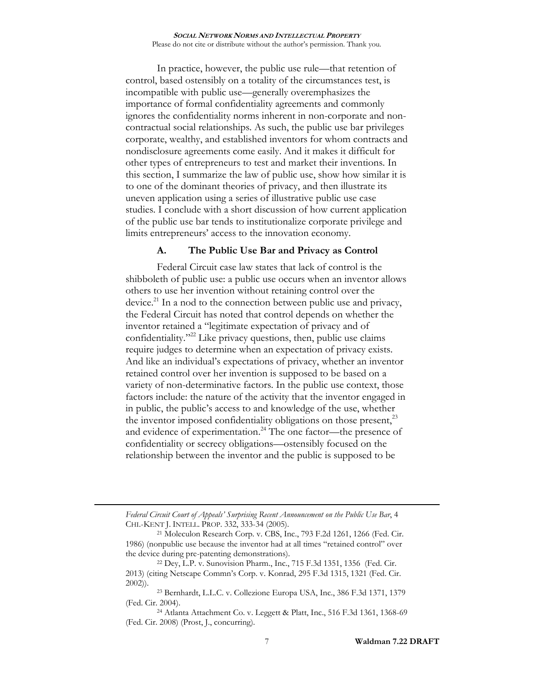In practice, however, the public use rule—that retention of control, based ostensibly on a totality of the circumstances test, is incompatible with public use—generally overemphasizes the importance of formal confidentiality agreements and commonly ignores the confidentiality norms inherent in non-corporate and noncontractual social relationships. As such, the public use bar privileges corporate, wealthy, and established inventors for whom contracts and nondisclosure agreements come easily. And it makes it difficult for other types of entrepreneurs to test and market their inventions. In this section, I summarize the law of public use, show how similar it is to one of the dominant theories of privacy, and then illustrate its uneven application using a series of illustrative public use case studies. I conclude with a short discussion of how current application of the public use bar tends to institutionalize corporate privilege and limits entrepreneurs' access to the innovation economy.

## **A. The Public Use Bar and Privacy as Control**

<span id="page-6-0"></span>Federal Circuit case law states that lack of control is the shibboleth of public use: a public use occurs when an inventor allows others to use her invention without retaining control over the device.<sup>21</sup> In a nod to the connection between public use and privacy, the Federal Circuit has noted that control depends on whether the inventor retained a "legitimate expectation of privacy and of confidentiality." <sup>22</sup> Like privacy questions, then, public use claims require judges to determine when an expectation of privacy exists. And like an individual's expectations of privacy, whether an inventor retained control over her invention is supposed to be based on a variety of non-determinative factors. In the public use context, those factors include: the nature of the activity that the inventor engaged in in public, the public's access to and knowledge of the use, whether the inventor imposed confidentiality obligations on those present,<sup>23</sup> and evidence of experimentation.<sup>24</sup> The one factor—the presence of confidentiality or secrecy obligations—ostensibly focused on the relationship between the inventor and the public is supposed to be

*Federal Circuit Court of Appeals' Surprising Recent Announcement on the Public Use Bar*, 4 CHI.-KENT J. INTELL. PROP. 332, 333-34 (2005).

<sup>21</sup> Moleculon Research Corp. v. CBS, Inc., 793 F.2d 1261, 1266 (Fed. Cir. 1986) (nonpublic use because the inventor had at all times "retained control" over the device during pre-patenting demonstrations).

<sup>22</sup> Dey, L.P. v. Sunovision Pharm., Inc., 715 F.3d 1351, 1356 (Fed. Cir. 2013) (citing Netscape Commn's Corp. v. Konrad, 295 F.3d 1315, 1321 (Fed. Cir. 2002)).

<sup>23</sup> Bernhardt, L.L.C. v. Collezione Europa USA, Inc., 386 F.3d 1371, 1379 (Fed. Cir. 2004).

<sup>24</sup> Atlanta Attachment Co. v. Leggett & Platt, Inc., 516 F.3d 1361, 1368-69 (Fed. Cir. 2008) (Prost, J., concurring).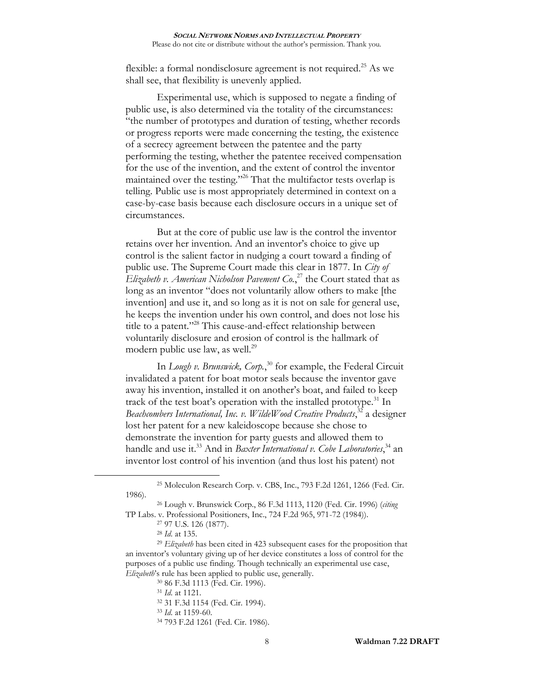flexible: a formal nondisclosure agreement is not required.<sup>25</sup> As we shall see, that flexibility is unevenly applied.

Experimental use, which is supposed to negate a finding of public use, is also determined via the totality of the circumstances: "the number of prototypes and duration of testing, whether records or progress reports were made concerning the testing, the existence of a secrecy agreement between the patentee and the party performing the testing, whether the patentee received compensation for the use of the invention, and the extent of control the inventor maintained over the testing."<sup>26</sup> That the multifactor tests overlap is telling. Public use is most appropriately determined in context on a case-by-case basis because each disclosure occurs in a unique set of circumstances.

<span id="page-7-0"></span>But at the core of public use law is the control the inventor retains over her invention. And an inventor's choice to give up control is the salient factor in nudging a court toward a finding of public use. The Supreme Court made this clear in 1877. In *City of Elizabeth v. American Nicholson Pavement Co.*, <sup>27</sup> the Court stated that as long as an inventor "does not voluntarily allow others to make [the invention] and use it, and so long as it is not on sale for general use, he keeps the invention under his own control, and does not lose his title to a patent."<sup>28</sup> This cause-and-effect relationship between voluntarily disclosure and erosion of control is the hallmark of modern public use law, as well.<sup>29</sup>

In *Lough v. Brunswick, Corp.*, <sup>30</sup> for example, the Federal Circuit invalidated a patent for boat motor seals because the inventor gave away his invention, installed it on another's boat, and failed to keep track of the test boat's operation with the installed prototype.<sup>31</sup> In Beachcombers International, Inc. v. WildeWood Creative Products,<sup>32</sup> a designer lost her patent for a new kaleidoscope because she chose to demonstrate the invention for party guests and allowed them to handle and use it.<sup>33</sup> And in *Baxter International v. Cobe Laboratories*,<sup>34</sup> an inventor lost control of his invention (and thus lost his patent) not

<sup>25</sup> Moleculon Research Corp. v. CBS, Inc., 793 F.2d 1261, 1266 (Fed. Cir. 1986).

<sup>26</sup> Lough v. Brunswick Corp., 86 F.3d 1113, 1120 (Fed. Cir. 1996) (*citing* TP Labs. v. Professional Positioners, Inc., 724 F.2d 965, 971-72 (1984)).

<sup>27</sup> 97 U.S. 126 (1877).

<sup>28</sup> *Id*. at 135.

<sup>29</sup> *Elizabeth* has been cited in 423 subsequent cases for the proposition that an inventor's voluntary giving up of her device constitutes a loss of control for the purposes of a public use finding. Though technically an experimental use case, *Elizabeth*'s rule has been applied to public use, generally.

<sup>30</sup> 86 F.3d 1113 (Fed. Cir. 1996).

<sup>31</sup> *Id*. at 1121.

<sup>32</sup> 31 F.3d 1154 (Fed. Cir. 1994).

<sup>33</sup> *Id*. at 1159-60.

<sup>34</sup> 793 F.2d 1261 (Fed. Cir. 1986).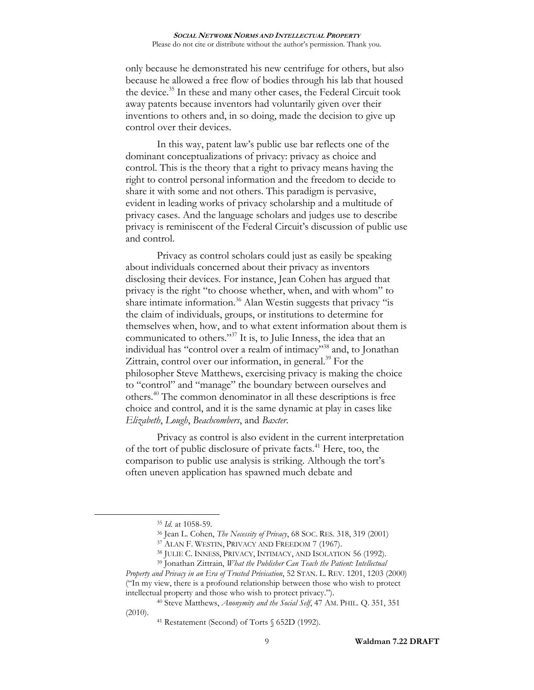<span id="page-8-0"></span>only because he demonstrated his new centrifuge for others, but also because he allowed a free flow of bodies through his lab that housed the device. <sup>35</sup> In these and many other cases, the Federal Circuit took away patents because inventors had voluntarily given over their inventions to others and, in so doing, made the decision to give up control over their devices.

In this way, patent law's public use bar reflects one of the dominant conceptualizations of privacy: privacy as choice and control. This is the theory that a right to privacy means having the right to control personal information and the freedom to decide to share it with some and not others. This paradigm is pervasive, evident in leading works of privacy scholarship and a multitude of privacy cases. And the language scholars and judges use to describe privacy is reminiscent of the Federal Circuit's discussion of public use and control.

Privacy as control scholars could just as easily be speaking about individuals concerned about their privacy as inventors disclosing their devices. For instance, Jean Cohen has argued that privacy is the right "to choose whether, when, and with whom" to share intimate information.<sup>36</sup> Alan Westin suggests that privacy "is the claim of individuals, groups, or institutions to determine for themselves when, how, and to what extent information about them is communicated to others."<sup>37</sup> It is, to Julie Inness, the idea that an individual has "control over a realm of intimacy"<sup>38</sup> and, to Jonathan Zittrain, control over our information, in general.<sup>39</sup> For the philosopher Steve Matthews, exercising privacy is making the choice to "control" and "manage" the boundary between ourselves and others.<sup>40</sup> The common denominator in all these descriptions is free choice and control, and it is the same dynamic at play in cases like *Elizabeth*, *Lough*, *Beachcombers*, and *Baxter*.

Privacy as control is also evident in the current interpretation of the tort of public disclosure of private facts.<sup>41</sup> Here, too, the comparison to public use analysis is striking. Although the tort's often uneven application has spawned much debate and

<sup>35</sup> *Id*. at 1058-59.

<sup>36</sup> Jean L. Cohen, *The Necessity of Privacy*, 68 SOC. RES. 318, 319 (2001)

<sup>37</sup> ALAN F. WESTIN, PRIVACY AND FREEDOM 7 (1967).

<sup>38</sup> JULIE C. INNESS, PRIVACY, INTIMACY, AND ISOLATION 56 (1992).

<sup>39</sup> Jonathan Zittrain, *What the Publisher Can Teach the Patient: Intellectual Property and Privacy in an Era of Trusted Privication*, 52 STAN. L. REV. 1201, 1203 (2000) ("In my view, there is a profound relationship between those who wish to protect intellectual property and those who wish to protect privacy.").

<sup>40</sup> Steve Matthews, *Anonymity and the Social Self*, 47 AM. PHIL. Q. 351, 351 (2010).

<sup>41</sup> Restatement (Second) of Torts § 652D (1992).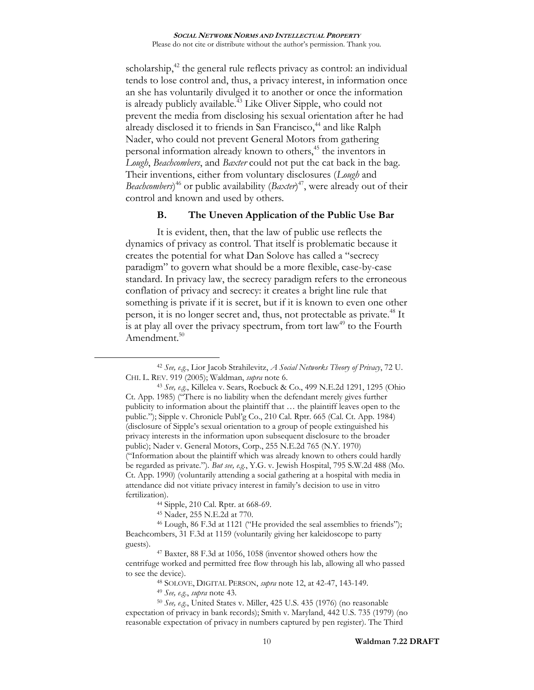<span id="page-9-2"></span><span id="page-9-0"></span>scholarship,<sup>42</sup> the general rule reflects privacy as control: an individual tends to lose control and, thus, a privacy interest, in information once an she has voluntarily divulged it to another or once the information is already publicly available.<sup>43</sup> Like Oliver Sipple, who could not prevent the media from disclosing his sexual orientation after he had already disclosed it to friends in San Francisco,<sup>44</sup> and like Ralph Nader, who could not prevent General Motors from gathering personal information already known to others,<sup>45</sup> the inventors in *Lough*, *Beachcombers*, and *Baxter* could not put the cat back in the bag. Their inventions, either from voluntary disclosures (*Lough* and *Beachcombers*) <sup>46</sup> or public availability (*Baxter*) <sup>47</sup>, were already out of their control and known and used by others.

## <span id="page-9-3"></span><span id="page-9-1"></span>**B. The Uneven Application of the Public Use Bar**

It is evident, then, that the law of public use reflects the dynamics of privacy as control. That itself is problematic because it creates the potential for what Dan Solove has called a "secrecy paradigm" to govern what should be a more flexible, case-by-case standard. In privacy law, the secrecy paradigm refers to the erroneous conflation of privacy and secrecy: it creates a bright line rule that something is private if it is secret, but if it is known to even one other person, it is no longer secret and, thus, not protectable as private.<sup>48</sup> It is at play all over the privacy spectrum, from tort  $law<sup>49</sup>$  to the Fourth Amendment. 50

<sup>42</sup> *See, e.g.*, Lior Jacob Strahilevitz, *A Social Networks Theory of Privacy*, 72 U. CHI. L. REV. 919 (2005); Waldman, *supra* note [6.](#page-1-0)

<sup>43</sup> *See, e.g.*, Killelea v. Sears, Roebuck & Co., 499 N.E.2d 1291, 1295 (Ohio Ct. App. 1985) ("There is no liability when the defendant merely gives further publicity to information about the plaintiff that … the plaintiff leaves open to the public."); Sipple v. Chronicle Publ'g Co., 210 Cal. Rptr. 665 (Cal. Ct. App. 1984) (disclosure of Sipple's sexual orientation to a group of people extinguished his privacy interests in the information upon subsequent disclosure to the broader public); Nader v. General Motors, Corp., 255 N.E.2d 765 (N.Y. 1970) ("Information about the plaintiff which was already known to others could hardly be regarded as private."). *But see, e.g.*, Y.G. v. Jewish Hospital, 795 S.W.2d 488 (Mo. Ct. App. 1990) (voluntarily attending a social gathering at a hospital with media in attendance did not vitiate privacy interest in family's decision to use in vitro fertilization).

<sup>44</sup> Sipple, 210 Cal. Rptr. at 668-69.

<sup>45</sup> Nader, 255 N.E.2d at 770.

<sup>46</sup> Lough, 86 F.3d at 1121 ("He provided the seal assemblies to friends"); Beachcombers, 31 F.3d at 1159 (voluntarily giving her kaleidoscope to party guests).

<sup>47</sup> Baxter, 88 F.3d at 1056, 1058 (inventor showed others how the centrifuge worked and permitted free flow through his lab, allowing all who passed to see the device).

<sup>48</sup> SOLOVE, DIGITAL PERSON, *supra* note [12,](#page-3-0) at 42-47, 143-149.

<sup>49</sup> *See, e.g.*, *supra* note [43.](#page-9-0)

<sup>50</sup> *See, e.g.*, United States v. Miller, 425 U.S. 435 (1976) (no reasonable expectation of privacy in bank records); Smith v. Maryland, 442 U.S. 735 (1979) (no reasonable expectation of privacy in numbers captured by pen register). The Third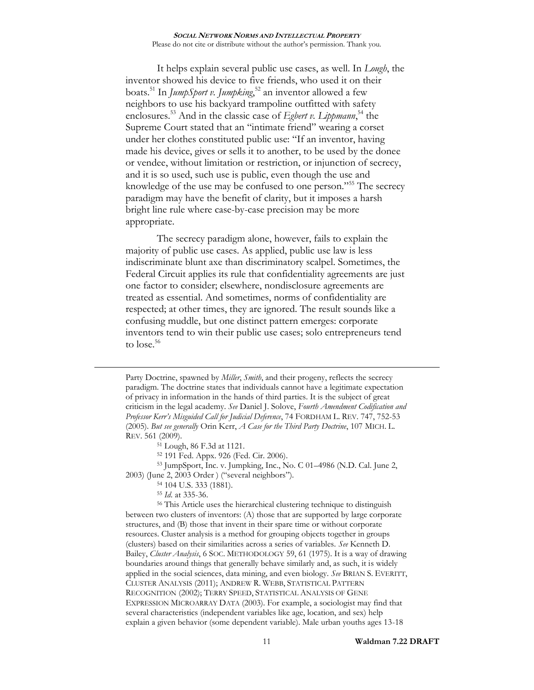It helps explain several public use cases, as well. In *Lough*, the inventor showed his device to five friends, who used it on their boats.<sup>51</sup> In *JumpSport v. Jumpking*, <sup>52</sup> an inventor allowed a few neighbors to use his backyard trampoline outfitted with safety enclosures.<sup>53</sup> And in the classic case of *Egbert v. Lippmann*,<sup>54</sup> the Supreme Court stated that an "intimate friend" wearing a corset under her clothes constituted public use: "If an inventor, having made his device, gives or sells it to another, to be used by the donee or vendee, without limitation or restriction, or injunction of secrecy, and it is so used, such use is public, even though the use and knowledge of the use may be confused to one person."<sup>55</sup> The secrecy paradigm may have the benefit of clarity, but it imposes a harsh bright line rule where case-by-case precision may be more appropriate.

<span id="page-10-0"></span>The secrecy paradigm alone, however, fails to explain the majority of public use cases. As applied, public use law is less indiscriminate blunt axe than discriminatory scalpel. Sometimes, the Federal Circuit applies its rule that confidentiality agreements are just one factor to consider; elsewhere, nondisclosure agreements are treated as essential. And sometimes, norms of confidentiality are respected; at other times, they are ignored. The result sounds like a confusing muddle, but one distinct pattern emerges: corporate inventors tend to win their public use cases; solo entrepreneurs tend to lose. 56

<sup>51</sup> Lough, 86 F.3d at 1121.

<sup>52</sup> 191 Fed. Appx. 926 (Fed. Cir. 2006).

<sup>53</sup> JumpSport, Inc. v. Jumpking, Inc., No. C 01–4986 (N.D. Cal. June 2, 2003) (June 2, 2003 Order ) ("several neighbors").

<sup>54</sup> 104 U.S. 333 (1881).

<sup>55</sup> *Id*. at 335-36.

 $\overline{a}$ 

<sup>56</sup> This Article uses the hierarchical clustering technique to distinguish between two clusters of inventors: (A) those that are supported by large corporate structures, and (B) those that invent in their spare time or without corporate resources. Cluster analysis is a method for grouping objects together in groups (clusters) based on their similarities across a series of variables. *See* Kenneth D. Bailey, *Cluster Analysis*, 6 SOC. METHODOLOGY 59, 61 (1975). It is a way of drawing boundaries around things that generally behave similarly and, as such, it is widely applied in the social sciences, data mining, and even biology. *See* BRIAN S. EVERITT, CLUSTER ANALYSIS (2011); ANDREW R. WEBB, STATISTICAL PATTERN RECOGNITION (2002); TERRY SPEED, STATISTICAL ANALYSIS OF GENE EXPRESSION MICROARRAY DATA (2003). For example, a sociologist may find that several characteristics (independent variables like age, location, and sex) help explain a given behavior (some dependent variable). Male urban youths ages 13-18

Party Doctrine, spawned by *Miller*, *Smith*, and their progeny, reflects the secrecy paradigm. The doctrine states that individuals cannot have a legitimate expectation of privacy in information in the hands of third parties. It is the subject of great criticism in the legal academy. *See* Daniel J. Solove, *Fourth Amendment Codification and Professor Kerr's Misguided Call for Judicial Deference*, 74 FORDHAM L. REV. 747, 752-53 (2005). *But see generally* Orin Kerr, *A Case for the Third Party Doctrine*, 107 MICH. L. REV. 561 (2009).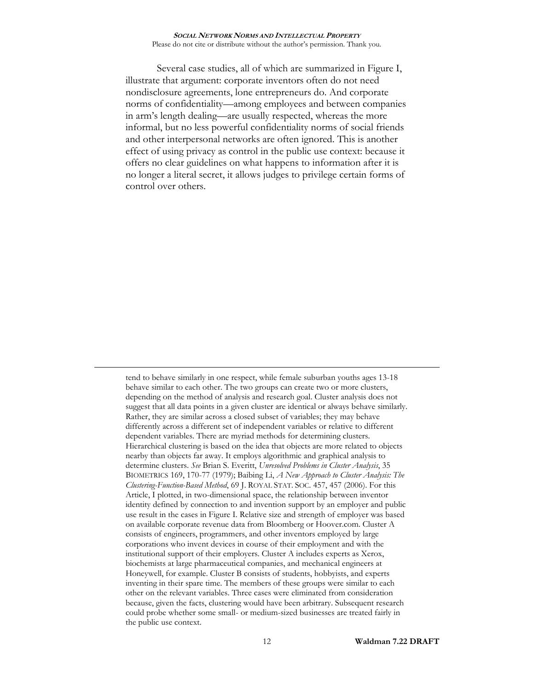Several case studies, all of which are summarized in Figure I, illustrate that argument: corporate inventors often do not need nondisclosure agreements, lone entrepreneurs do. And corporate norms of confidentiality—among employees and between companies in arm's length dealing—are usually respected, whereas the more informal, but no less powerful confidentiality norms of social friends and other interpersonal networks are often ignored. This is another effect of using privacy as control in the public use context: because it offers no clear guidelines on what happens to information after it is no longer a literal secret, it allows judges to privilege certain forms of control over others.

tend to behave similarly in one respect, while female suburban youths ages 13-18 behave similar to each other. The two groups can create two or more clusters, depending on the method of analysis and research goal. Cluster analysis does not suggest that all data points in a given cluster are identical or always behave similarly. Rather, they are similar across a closed subset of variables; they may behave differently across a different set of independent variables or relative to different dependent variables. There are myriad methods for determining clusters. Hierarchical clustering is based on the idea that objects are more related to objects nearby than objects far away. It employs algorithmic and graphical analysis to determine clusters. *See* Brian S. Everitt, *Unresolved Problems in Cluster Analysis*, 35 BIOMETRICS 169, 170-77 (1979); Baibing Li, *A New Approach to Cluster Analysis: The Clustering-Function-Based Method*, 69 J. ROYAL STAT. SOC. 457, 457 (2006). For this Article, I plotted, in two-dimensional space, the relationship between inventor identity defined by connection to and invention support by an employer and public use result in the cases in Figure I. Relative size and strength of employer was based on available corporate revenue data from Bloomberg or Hoover.com. Cluster A consists of engineers, programmers, and other inventors employed by large corporations who invent devices in course of their employment and with the institutional support of their employers. Cluster A includes experts as Xerox, biochemists at large pharmaceutical companies, and mechanical engineers at Honeywell, for example. Cluster B consists of students, hobbyists, and experts inventing in their spare time. The members of these groups were similar to each other on the relevant variables. Three cases were eliminated from consideration because, given the facts, clustering would have been arbitrary. Subsequent research could probe whether some small- or medium-sized businesses are treated fairly in the public use context.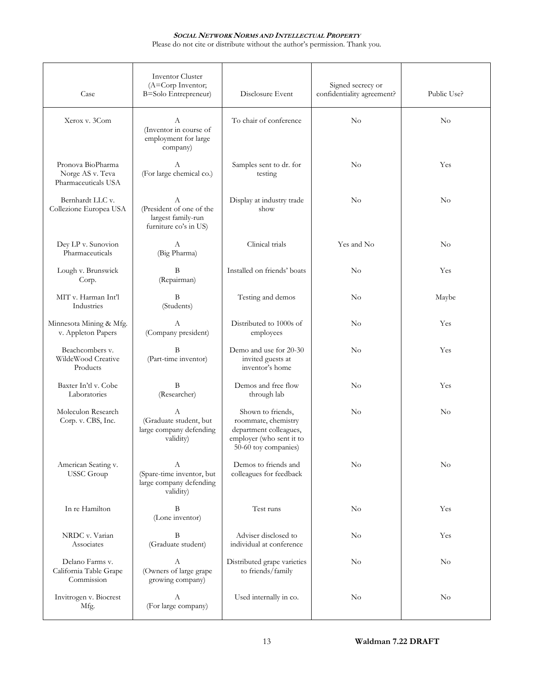## **SOCIAL NETWORK NORMS AND INTELLECTUAL PROPERTY**

Please do not cite or distribute without the author's permission. Thank you.

| Case                                                         | <b>Inventor Cluster</b><br>(A=Corp Inventor;<br><b>B=Solo Entrepreneur)</b>  | Disclosure Event                                                                                                       | Signed secrecy or<br>confidentiality agreement? | Public Use? |
|--------------------------------------------------------------|------------------------------------------------------------------------------|------------------------------------------------------------------------------------------------------------------------|-------------------------------------------------|-------------|
| Xerox v. 3Com                                                | А<br>(Inventor in course of<br>employment for large<br>company)              | To chair of conference                                                                                                 | $\rm No$                                        | $\rm No$    |
| Pronova BioPharma<br>Norge AS v. Teva<br>Pharmaceuticals USA | А<br>(For large chemical co.)                                                | Samples sent to dr. for<br>testing                                                                                     | No                                              | Yes         |
| Bernhardt LLC v.<br>Collezione Europea USA                   | А<br>(President of one of the<br>largest family-run<br>furniture co's in US) | Display at industry trade<br>show                                                                                      | No                                              | $\rm No$    |
| Dey LP v. Sunovion<br>Pharmaceuticals                        | A<br>(Big Pharma)                                                            | Clinical trials                                                                                                        | Yes and No                                      | $\rm No$    |
| Lough v. Brunswick<br>Corp.                                  | B<br>(Repairman)                                                             | Installed on friends' boats                                                                                            | $\rm No$                                        | Yes         |
| MIT v. Harman Int'l<br>Industries                            | B<br>(Students)                                                              | Testing and demos                                                                                                      | $\rm No$                                        | Maybe       |
| Minnesota Mining & Mfg.<br>v. Appleton Papers                | A<br>(Company president)                                                     | Distributed to 1000s of<br>employees                                                                                   | $\rm No$                                        | Yes         |
| Beachcombers v.<br>WildeWood Creative<br>Products            | B<br>(Part-time inventor)                                                    | Demo and use for 20-30<br>invited guests at<br>inventor's home                                                         | $\rm No$                                        | Yes         |
| Baxter In'tl v. Cobe<br>Laboratories                         | B<br>(Researcher)                                                            | Demos and free flow<br>through lab                                                                                     | $\rm No$                                        | Yes         |
| Moleculon Research<br>Corp. v. CBS, Inc.                     | A<br>(Graduate student, but<br>large company defending<br>validity)          | Shown to friends,<br>roommate, chemistry<br>department colleagues,<br>employer (who sent it to<br>50-60 toy companies) | No                                              | No          |
| American Seating v.<br><b>USSC</b> Group                     | А<br>(Spare-time inventor, but<br>large company defending<br>validity)       | Demos to friends and<br>colleagues for feedback                                                                        | No                                              | $\rm No$    |
| In re Hamilton                                               | B<br>(Lone inventor)                                                         | Test runs                                                                                                              | $\rm No$                                        | Yes         |
| NRDC v. Varian<br>Associates                                 | B<br>(Graduate student)                                                      | Adviser disclosed to<br>individual at conference                                                                       | $\rm No$                                        | Yes         |
| Delano Farms v.<br>California Table Grape<br>Commission      | А<br>(Owners of large grape<br>growing company)                              | Distributed grape varieties<br>to friends/family                                                                       | $\rm No$                                        | $\rm No$    |
| Invitrogen v. Biocrest<br>Mfg.                               | А<br>(For large company)                                                     | Used internally in co.                                                                                                 | No                                              | No          |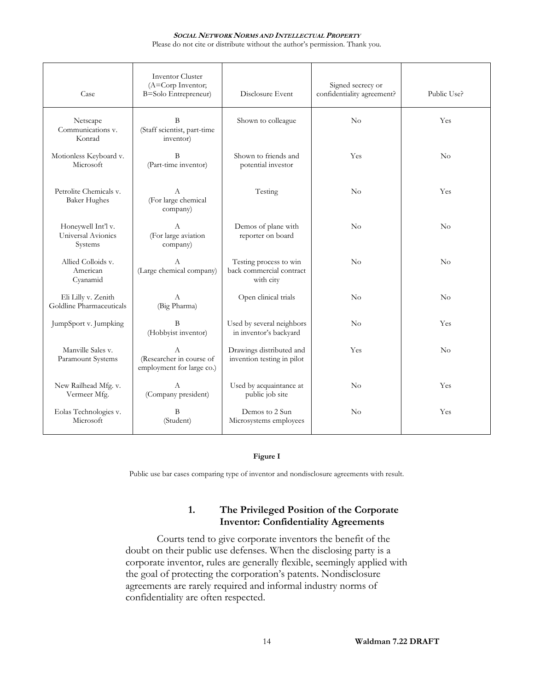#### **SOCIAL NETWORK NORMS AND INTELLECTUAL PROPERTY**

Please do not cite or distribute without the author's permission. Thank you.

| Case                                                | <b>Inventor Cluster</b><br>(A=Corp Inventor;<br>B=Solo Entrepreneur)  | Disclosure Event                                                | Signed secrecy or<br>confidentiality agreement? | Public Use? |
|-----------------------------------------------------|-----------------------------------------------------------------------|-----------------------------------------------------------------|-------------------------------------------------|-------------|
| Netscape<br>Communications v.<br>Konrad             | B<br>(Staff scientist, part-time<br>inventor)                         | Shown to colleague                                              | No                                              | Yes         |
| Motionless Keyboard v.<br>Microsoft                 | <sup>B</sup><br>(Part-time inventor)                                  | Shown to friends and<br>potential investor                      | Yes                                             | No          |
| Petrolite Chemicals v.<br><b>Baker Hughes</b>       | A<br>(For large chemical<br>company)                                  | Testing                                                         | No                                              | Yes         |
| Honeywell Int'l v.<br>Universal Avionics<br>Systems | A<br>(For large aviation<br>company)                                  | Demos of plane with<br>reporter on board                        | No                                              | No          |
| Allied Colloids v.<br>American<br>Cyanamid          | A<br>(Large chemical company)                                         | Testing process to win<br>back commercial contract<br>with city | $\rm No$                                        | No          |
| Eli Lilly v. Zenith<br>Goldline Pharmaceuticals     | A<br>(Big Pharma)                                                     | Open clinical trials                                            | $\rm No$                                        | No          |
| JumpSport v. Jumpking                               | <sup>B</sup><br>(Hobbyist inventor)                                   | Used by several neighbors<br>in inventor's backyard             | $\rm No$                                        | Yes         |
| Manville Sales v.<br>Paramount Systems              | $\mathbf{A}$<br>(Researcher in course of<br>employment for large co.) | Drawings distributed and<br>invention testing in pilot          | Yes                                             | No          |
| New Railhead Mfg. v.<br>Vermeer Mfg.                | $\mathsf{A}$<br>(Company president)                                   | Used by acquaintance at<br>public job site                      | $\rm No$                                        | Yes         |
| Eolas Technologies v.<br>Microsoft                  | B<br>(Student)                                                        | Demos to 2 Sun<br>Microsystems employees                        | $\rm No$                                        | Yes         |

### **Figure I**

Public use bar cases comparing type of inventor and nondisclosure agreements with result.

# **1. The Privileged Position of the Corporate Inventor: Confidentiality Agreements**

Courts tend to give corporate inventors the benefit of the doubt on their public use defenses. When the disclosing party is a corporate inventor, rules are generally flexible, seemingly applied with the goal of protecting the corporation's patents. Nondisclosure agreements are rarely required and informal industry norms of confidentiality are often respected.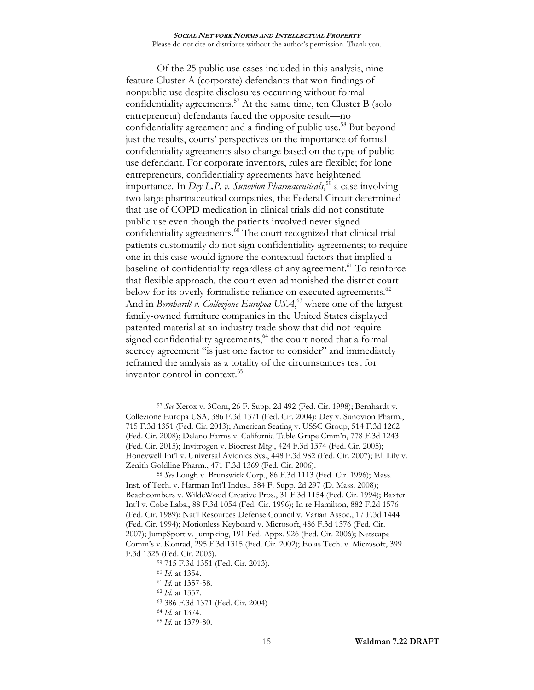<span id="page-14-0"></span>Of the 25 public use cases included in this analysis, nine feature Cluster A (corporate) defendants that won findings of nonpublic use despite disclosures occurring without formal confidentiality agreements.<sup>57</sup> At the same time, ten Cluster B (solo entrepreneur) defendants faced the opposite result—no confidentiality agreement and a finding of public use.<sup>58</sup> But beyond just the results, courts' perspectives on the importance of formal confidentiality agreements also change based on the type of public use defendant. For corporate inventors, rules are flexible; for lone entrepreneurs, confidentiality agreements have heightened importance. In *Dey L.P. v. Sunovion Pharmaceuticals*, <sup>59</sup> a case involving two large pharmaceutical companies, the Federal Circuit determined that use of COPD medication in clinical trials did not constitute public use even though the patients involved never signed confidentiality agreements.<sup>60</sup> The court recognized that clinical trial patients customarily do not sign confidentiality agreements; to require one in this case would ignore the contextual factors that implied a baseline of confidentiality regardless of any agreement.<sup>61</sup> To reinforce that flexible approach, the court even admonished the district court below for its overly formalistic reliance on executed agreements.<sup>62</sup> And in *Bernhardt v. Collezione Europea USA*, <sup>63</sup> where one of the largest family-owned furniture companies in the United States displayed patented material at an industry trade show that did not require signed confidentiality agreements, $64$  the court noted that a formal secrecy agreement "is just one factor to consider" and immediately reframed the analysis as a totality of the circumstances test for inventor control in context. $65$ 

<sup>60</sup> *Id*. at 1354.

 $\overline{a}$ 

<sup>62</sup> *Id*. at 1357.

- <sup>64</sup> *Id*. at 1374.
- <sup>65</sup> *Id*. at 1379-80.

<sup>57</sup> *See* Xerox v. 3Com, 26 F. Supp. 2d 492 (Fed. Cir. 1998); Bernhardt v. Collezione Europa USA, 386 F.3d 1371 (Fed. Cir. 2004); Dey v. Sunovion Pharm., 715 F.3d 1351 (Fed. Cir. 2013); American Seating v. USSC Group, 514 F.3d 1262 (Fed. Cir. 2008); Delano Farms v. California Table Grape Cmm'n, 778 F.3d 1243 (Fed. Cir. 2015); Invitrogen v. Biocrest Mfg., 424 F.3d 1374 (Fed. Cir. 2005); Honeywell Int'l v. Universal Avionics Sys., 448 F.3d 982 (Fed. Cir. 2007); Eli Lily v. Zenith Goldline Pharm., 471 F.3d 1369 (Fed. Cir. 2006).

<sup>58</sup> *See* Lough v. Brunswick Corp., 86 F.3d 1113 (Fed. Cir. 1996); Mass. Inst. of Tech. v. Harman Int'l Indus., 584 F. Supp. 2d 297 (D. Mass. 2008); Beachcombers v. WildeWood Creative Pros., 31 F.3d 1154 (Fed. Cir. 1994); Baxter Int'l v. Cobe Labs., 88 F.3d 1054 (Fed. Cir. 1996); In re Hamilton, 882 F.2d 1576 (Fed. Cir. 1989); Nat'l Resources Defense Council v. Varian Assoc., 17 F.3d 1444 (Fed. Cir. 1994); Motionless Keyboard v. Microsoft, 486 F.3d 1376 (Fed. Cir. 2007); JumpSport v. Jumpking, 191 Fed. Appx. 926 (Fed. Cir. 2006); Netscape Comm's v. Konrad, 295 F.3d 1315 (Fed. Cir. 2002); Eolas Tech. v. Microsoft, 399 F.3d 1325 (Fed. Cir. 2005).

<sup>59</sup> 715 F.3d 1351 (Fed. Cir. 2013).

<sup>61</sup> *Id*. at 1357-58.

<sup>63</sup> 386 F.3d 1371 (Fed. Cir. 2004)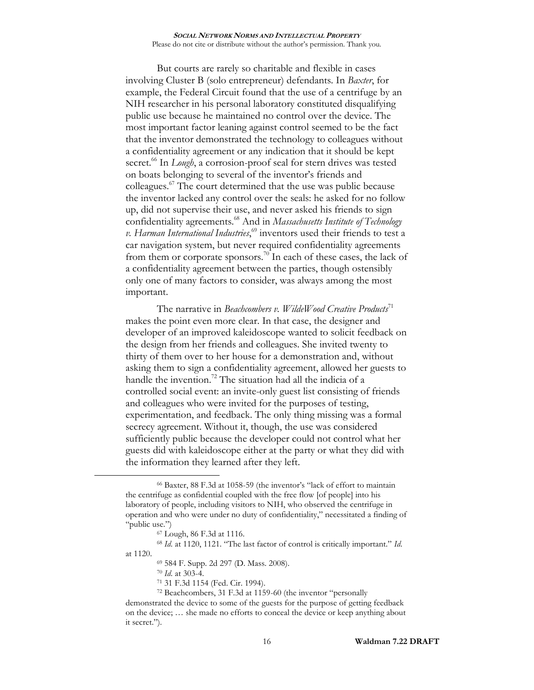But courts are rarely so charitable and flexible in cases involving Cluster B (solo entrepreneur) defendants. In *Baxter*, for example, the Federal Circuit found that the use of a centrifuge by an NIH researcher in his personal laboratory constituted disqualifying public use because he maintained no control over the device. The most important factor leaning against control seemed to be the fact that the inventor demonstrated the technology to colleagues without a confidentiality agreement or any indication that it should be kept secret.<sup>66</sup> In *Lough*, a corrosion-proof seal for stern drives was tested on boats belonging to several of the inventor's friends and colleagues.<sup>67</sup> The court determined that the use was public because the inventor lacked any control over the seals: he asked for no follow up, did not supervise their use, and never asked his friends to sign confidentiality agreements. <sup>68</sup> And in *Massachusetts Institute of Technology v. Harman International Industries*, <sup>69</sup> inventors used their friends to test a car navigation system, but never required confidentiality agreements from them or corporate sponsors.<sup>70</sup> In each of these cases, the lack of a confidentiality agreement between the parties, though ostensibly only one of many factors to consider, was always among the most important.

<span id="page-15-0"></span>The narrative in *Beachcombers v. WildeWood Creative Products*<sup>71</sup> makes the point even more clear. In that case, the designer and developer of an improved kaleidoscope wanted to solicit feedback on the design from her friends and colleagues. She invited twenty to thirty of them over to her house for a demonstration and, without asking them to sign a confidentiality agreement, allowed her guests to handle the invention.<sup>72</sup> The situation had all the indicia of a controlled social event: an invite-only guest list consisting of friends and colleagues who were invited for the purposes of testing, experimentation, and feedback. The only thing missing was a formal secrecy agreement. Without it, though, the use was considered sufficiently public because the developer could not control what her guests did with kaleidoscope either at the party or what they did with the information they learned after they left.

<sup>66</sup> Baxter, 88 F.3d at 1058-59 (the inventor's "lack of effort to maintain the centrifuge as confidential coupled with the free flow [of people] into his laboratory of people, including visitors to NIH, who observed the centrifuge in operation and who were under no duty of confidentiality," necessitated a finding of "public use.")

<sup>67</sup> Lough, 86 F.3d at 1116.

<sup>68</sup> *Id*. at 1120, 1121. "The last factor of control is critically important." *Id*. at 1120.

<sup>69</sup> 584 F. Supp. 2d 297 (D. Mass. 2008).

<sup>70</sup> *Id*. at 303-4.

<sup>71</sup> 31 F.3d 1154 (Fed. Cir. 1994).

<sup>72</sup> Beachcombers, 31 F.3d at 1159-60 (the inventor "personally

demonstrated the device to some of the guests for the purpose of getting feedback on the device; … she made no efforts to conceal the device or keep anything about it secret.").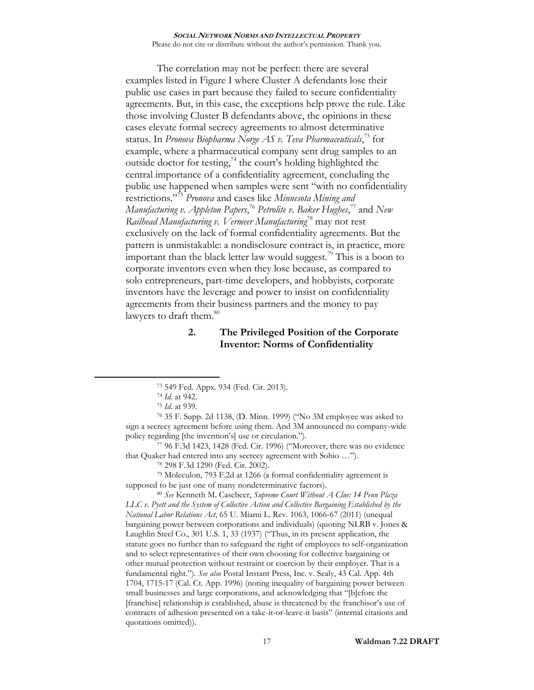<span id="page-16-0"></span>The correlation may not be perfect: there are several examples listed in Figure I where Cluster A defendants lose their public use cases in part because they failed to secure confidentiality agreements. But, in this case, the exceptions help prove the rule. Like those involving Cluster B defendants above, the opinions in these cases elevate formal secrecy agreements to almost determinative status. In *Pronova Biopharma Norge AS v. Teva Pharmaceuticals*, <sup>73</sup> for example, where a pharmaceutical company sent drug samples to an outside doctor for testing,<sup>74</sup> the court's holding highlighted the central importance of a confidentiality agreement, concluding the public use happened when samples were sent "with no confidentiality restrictions."<sup>75</sup> *Pronova* and cases like *Minnesota Mining and Manufacturing v. Appleton Papers*, <sup>76</sup> *Petrolite v. Baker Hughes*, <sup>77</sup> and *New Railhead Manufacturing v. Vermeer Manufacturing*<sup>78</sup> may not rest exclusively on the lack of formal confidentiality agreements. But the pattern is unmistakable: a nondisclosure contract is, in practice, more important than the black letter law would suggest.<sup>79</sup> This is a boon to corporate inventors even when they lose because, as compared to solo entrepreneurs, part-time developers, and hobbyists, corporate inventors have the leverage and power to insist on confidentiality agreements from their business partners and the money to pay lawyers to draft them.<sup>80</sup>

# <span id="page-16-1"></span>**2. The Privileged Position of the Corporate Inventor: Norms of Confidentiality**

 $\overline{a}$ 

<sup>76</sup> 35 F. Supp. 2d 1138, (D. Minn. 1999) ("No 3M employee was asked to sign a secrecy agreement before using them. And 3M announced no company-wide policy regarding [the invention's] use or circulation.").

<sup>77</sup> 96 F.3d 1423, 1428 (Fed. Cir. 1996) ("Moreover, there was no evidence that Quaker had entered into any secrecy agreement with Sohio …").

<sup>78</sup> 298 F.3d 1290 (Fed. Cir. 2002).

<sup>79</sup> Moleculon, 793 F.2d at 1266 (a formal confidentiality agreement is supposed to be just one of many nondeterminative factors).

<sup>80</sup> *See* Kenneth M. Casebeer, *Supreme Court Without A Clue: 14 Penn Plaza LLC v. Pyett and the System of Collective Action and Collective Bargaining Established by the National Labor Relations Act*, 65 U. Miami L. Rev. 1063, 1066-67 (2011) (unequal bargaining power between corporations and individuals) (quoting NLRB v. Jones & Laughlin Steel Co., 301 U.S. 1, 33 (1937) ("Thus, in its present application, the statute goes no further than to safeguard the right of employees to self-organization and to select representatives of their own choosing for collective bargaining or other mutual protection without restraint or coercion by their employer. That is a fundamental right."). *See also* Postal Instant Press, Inc. v. Sealy, 43 Cal. App. 4th 1704, 1715-17 (Cal. Ct. App. 1996) (noting inequality of bargaining power between small businesses and large corporations, and acknowledging that "[b]efore the [franchise] relationship is established, abuse is threatened by the franchisor's use of contracts of adhesion presented on a take-it-or-leave-it basis" (internal citations and quotations omitted)).

<sup>73</sup> 549 Fed. Appx. 934 (Fed. Cir. 2013).

<sup>74</sup> *Id*. at 942.

<sup>75</sup> *Id*. at 939.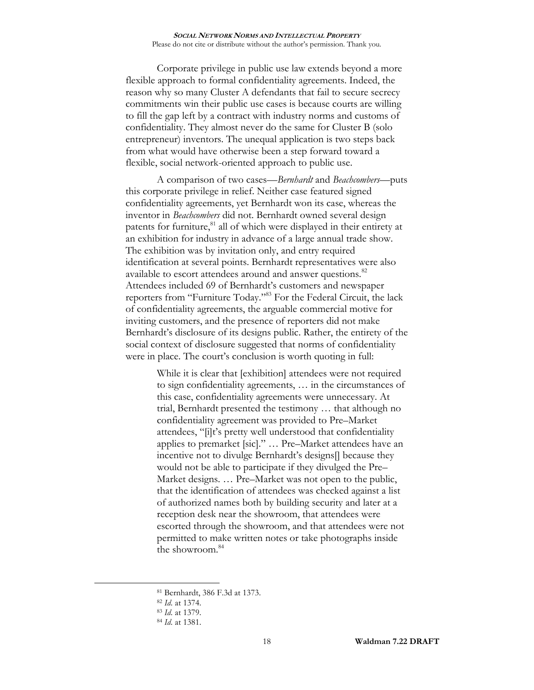Corporate privilege in public use law extends beyond a more flexible approach to formal confidentiality agreements. Indeed, the reason why so many Cluster A defendants that fail to secure secrecy commitments win their public use cases is because courts are willing to fill the gap left by a contract with industry norms and customs of confidentiality. They almost never do the same for Cluster B (solo entrepreneur) inventors. The unequal application is two steps back from what would have otherwise been a step forward toward a flexible, social network-oriented approach to public use.

<span id="page-17-0"></span>A comparison of two cases—*Bernhardt* and *Beachcombers*—puts this corporate privilege in relief. Neither case featured signed confidentiality agreements, yet Bernhardt won its case, whereas the inventor in *Beachcombers* did not. Bernhardt owned several design patents for furniture,<sup>81</sup> all of which were displayed in their entirety at an exhibition for industry in advance of a large annual trade show. The exhibition was by invitation only, and entry required identification at several points. Bernhardt representatives were also available to escort attendees around and answer questions.<sup>82</sup> Attendees included 69 of Bernhardt's customers and newspaper reporters from "Furniture Today."<sup>83</sup> For the Federal Circuit, the lack of confidentiality agreements, the arguable commercial motive for inviting customers, and the presence of reporters did not make Bernhardt's disclosure of its designs public. Rather, the entirety of the social context of disclosure suggested that norms of confidentiality were in place. The court's conclusion is worth quoting in full:

> While it is clear that [exhibition] attendees were not required to sign confidentiality agreements, … in the circumstances of this case, confidentiality agreements were unnecessary. At trial, Bernhardt presented the testimony … that although no confidentiality agreement was provided to Pre–Market attendees, "[i]t's pretty well understood that confidentiality applies to premarket [sic]." … Pre–Market attendees have an incentive not to divulge Bernhardt's designs[] because they would not be able to participate if they divulged the Pre– Market designs. … Pre–Market was not open to the public, that the identification of attendees was checked against a list of authorized names both by building security and later at a reception desk near the showroom, that attendees were escorted through the showroom, and that attendees were not permitted to make written notes or take photographs inside the showroom.<sup>84</sup>

<sup>81</sup> Bernhardt, 386 F.3d at 1373.

<sup>82</sup> *Id*. at 1374.

<sup>83</sup> *Id*. at 1379.

<sup>84</sup> *Id*. at 1381.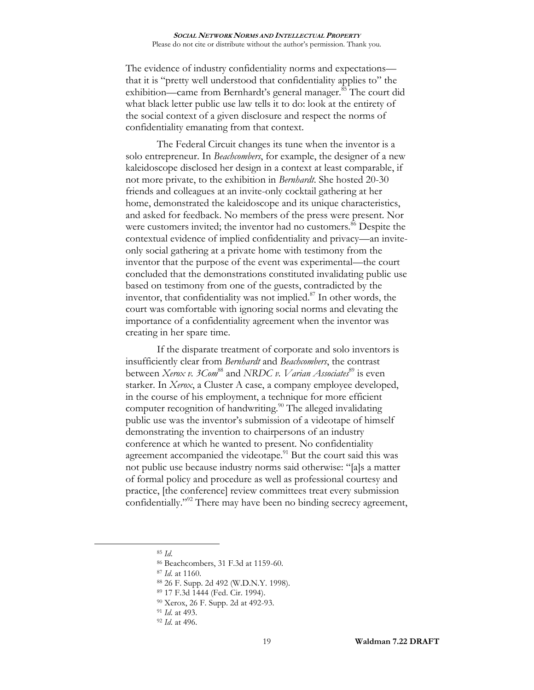<span id="page-18-0"></span>The evidence of industry confidentiality norms and expectations that it is "pretty well understood that confidentiality applies to" the exhibition—came from Bernhardt's general manager.<sup>85</sup> The court did what black letter public use law tells it to do: look at the entirety of the social context of a given disclosure and respect the norms of confidentiality emanating from that context.

The Federal Circuit changes its tune when the inventor is a solo entrepreneur. In *Beachcombers*, for example, the designer of a new kaleidoscope disclosed her design in a context at least comparable, if not more private, to the exhibition in *Bernhardt*. She hosted 20-30 friends and colleagues at an invite-only cocktail gathering at her home, demonstrated the kaleidoscope and its unique characteristics, and asked for feedback. No members of the press were present. Nor were customers invited; the inventor had no customers.<sup>86</sup> Despite the contextual evidence of implied confidentiality and privacy—an inviteonly social gathering at a private home with testimony from the inventor that the purpose of the event was experimental—the court concluded that the demonstrations constituted invalidating public use based on testimony from one of the guests, contradicted by the inventor, that confidentiality was not implied. <sup>87</sup> In other words, the court was comfortable with ignoring social norms and elevating the importance of a confidentiality agreement when the inventor was creating in her spare time.

If the disparate treatment of corporate and solo inventors is insufficiently clear from *Bernhardt* and *Beachcombers*, the contrast between *Xerox v. 3Com*<sup>88</sup> and *NRDC v. Varian Associates*<sup>89</sup> is even starker. In *Xerox*, a Cluster A case, a company employee developed, in the course of his employment, a technique for more efficient computer recognition of handwriting.<sup>90</sup> The alleged invalidating public use was the inventor's submission of a videotape of himself demonstrating the invention to chairpersons of an industry conference at which he wanted to present. No confidentiality agreement accompanied the videotape. $91$  But the court said this was not public use because industry norms said otherwise: "[a]s a matter of formal policy and procedure as well as professional courtesy and practice, [the conference] review committees treat every submission confidentially."<sup>92</sup> There may have been no binding secrecy agreement,

 $\overline{a}$ 

<sup>91</sup> *Id*. at 493.

<sup>85</sup> *Id*.

<sup>86</sup> Beachcombers, 31 F.3d at 1159-60.

<sup>87</sup> *Id*. at 1160.

<sup>88</sup> 26 F. Supp. 2d 492 (W.D.N.Y. 1998).

<sup>89</sup> 17 F.3d 1444 (Fed. Cir. 1994).

<sup>90</sup> Xerox, 26 F. Supp. 2d at 492-93.

<sup>92</sup> *Id*. at 496.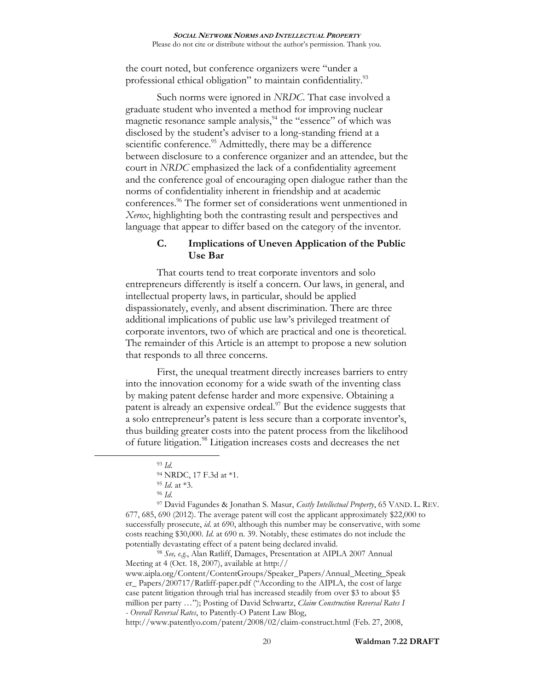the court noted, but conference organizers were "under a professional ethical obligation" to maintain confidentiality.<sup>93</sup>

Such norms were ignored in *NRDC*. That case involved a graduate student who invented a method for improving nuclear magnetic resonance sample analysis,  $94$  the "essence" of which was disclosed by the student's adviser to a long-standing friend at a scientific conference.<sup>95</sup> Admittedly, there may be a difference between disclosure to a conference organizer and an attendee, but the court in *NRDC* emphasized the lack of a confidentiality agreement and the conference goal of encouraging open dialogue rather than the norms of confidentiality inherent in friendship and at academic conferences. <sup>96</sup> The former set of considerations went unmentioned in *Xerox*, highlighting both the contrasting result and perspectives and language that appear to differ based on the category of the inventor.

# <span id="page-19-0"></span>**C. Implications of Uneven Application of the Public Use Bar**

That courts tend to treat corporate inventors and solo entrepreneurs differently is itself a concern. Our laws, in general, and intellectual property laws, in particular, should be applied dispassionately, evenly, and absent discrimination. There are three additional implications of public use law's privileged treatment of corporate inventors, two of which are practical and one is theoretical. The remainder of this Article is an attempt to propose a new solution that responds to all three concerns.

First, the unequal treatment directly increases barriers to entry into the innovation economy for a wide swath of the inventing class by making patent defense harder and more expensive. Obtaining a patent is already an expensive ordeal. $\frac{97}{2}$  But the evidence suggests that a solo entrepreneur's patent is less secure than a corporate inventor's, thus building greater costs into the patent process from the likelihood of future litigation.<sup>98</sup> Litigation increases costs and decreases the net

 $\overline{a}$ 

<sup>97</sup> David Fagundes & Jonathan S. Masur, *Costly Intellectual Property*, 65 VAND. L. REV. 677, 685, 690 (2012). The average patent will cost the applicant approximately \$22,000 to successfully prosecute, *id*. at 690, although this number may be conservative, with some costs reaching \$30,000. *Id*. at 690 n. 39. Notably, these estimates do not include the potentially devastating effect of a patent being declared invalid.

<sup>98</sup> *See, e.g.*, Alan Ratliff, Damages, Presentation at AIPLA 2007 Annual Meeting at 4 (Oct. 18, 2007), available at http://

www.aipla.org/Content/ContentGroups/Speaker\_Papers/Annual\_Meeting\_Speak er\_ Papers/200717/Ratliff-paper.pdf ("According to the AIPLA, the cost of large case patent litigation through trial has increased steadily from over \$3 to about \$5 million per party …"); Posting of David Schwartz, *Claim Construction Reversal Rates I - Overall Reversal Rates*, to Patently-O Patent Law Blog,

http://www.patentlyo.com/patent/2008/02/claim-construct.html (Feb. 27, 2008,

<sup>93</sup> *Id*.

<sup>94</sup> NRDC, 17 F.3d at \*1.

<sup>95</sup> *Id*. at \*3.

<sup>96</sup> *Id*.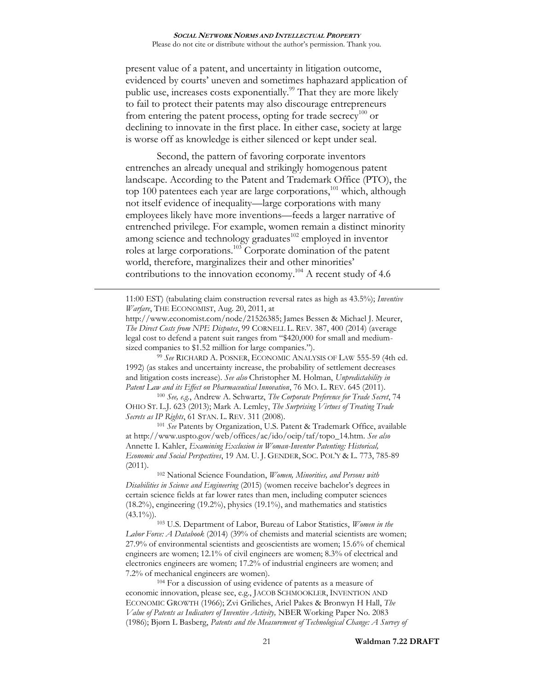present value of a patent, and uncertainty in litigation outcome, evidenced by courts' uneven and sometimes haphazard application of public use, increases costs exponentially.<sup>99</sup> That they are more likely to fail to protect their patents may also discourage entrepreneurs from entering the patent process, opting for trade secrecy<sup>100</sup> or declining to innovate in the first place. In either case, society at large is worse off as knowledge is either silenced or kept under seal.

<span id="page-20-0"></span>Second, the pattern of favoring corporate inventors entrenches an already unequal and strikingly homogenous patent landscape. According to the Patent and Trademark Office (PTO), the top 100 patentees each year are large corporations,<sup>101</sup> which, although not itself evidence of inequality—large corporations with many employees likely have more inventions—feeds a larger narrative of entrenched privilege. For example, women remain a distinct minority among science and technology graduates<sup>102</sup> employed in inventor roles at large corporations. <sup>103</sup> Corporate domination of the patent world, therefore, marginalizes their and other minorities' contributions to the innovation economy. <sup>104</sup> A recent study of 4.6

11:00 EST) (tabulating claim construction reversal rates as high as 43.5%); *Inventive Warfare*, THE ECONOMIST, Aug. 20, 2011, at

 $\overline{a}$ 

<sup>99</sup> *See* RICHARD A. POSNER, ECONOMIC ANALYSIS OF LAW 555-59 (4th ed. 1992) (as stakes and uncertainty increase, the probability of settlement decreases and litigation costs increase). *See also* Christopher M. Holman, *Unpredictability in Patent Law and its Effect on Pharmaceutical Innovation*, 76 MO. L. REV. 645 (2011).

<sup>100</sup> *See, e.g.*, Andrew A. Schwartz, *The Corporate Preference for Trade Secret*, 74 OHIO ST. L.J. 623 (2013); Mark A. Lemley, *The Surprising Virtues of Treating Trade Secrets as IP Rights*, 61 STAN. L. REV. 311 (2008).

<sup>101</sup> *See* Patents by Organization, U.S. Patent & Trademark Office, available at http://www.uspto.gov/web/offices/ac/ido/oeip/taf/topo\_14.htm. *See also*  Annette I. Kahler, *Examining Exclusion in Woman-Inventor Patenting: Historical, Economic and Social Perspectives*, 19 AM. U. J. GENDER, SOC. POL'Y & L. 773, 785-89 (2011).

<sup>102</sup> National Science Foundation, *Women, Minorities, and Persons with Disabilities in Science and Engineering* (2015) (women receive bachelor's degrees in certain science fields at far lower rates than men, including computer sciences (18.2%), engineering (19.2%), physics (19.1%), and mathematics and statistics  $(43.1\%)$ .

<sup>103</sup> U.S. Department of Labor, Bureau of Labor Statistics, *Women in the Labor Force: A Databook* (2014) (39% of chemists and material scientists are women; 27.9% of environmental scientists and geoscientists are women; 15.6% of chemical engineers are women; 12.1% of civil engineers are women; 8.3% of electrical and electronics engineers are women; 17.2% of industrial engineers are women; and 7.2% of mechanical engineers are women).

<sup>104</sup> For a discussion of using evidence of patents as a measure of economic innovation, please see, e.g., JACOB SCHMOOKLER, INVENTION AND ECONOMIC GROWTH (1966); Zvi Griliches, Ariel Pakes & Bronwyn H Hall, *The Value of Patents as Indicators of Inventive Activity,* NBER Working Paper No. 2083 (1986); Bjørn L Basberg, *Patents and the Measurement of Technological Change: A Survey of* 

http://www.economist.com/node/21526385; James Bessen & Michael J. Meurer, *The Direct Costs from NPE Disputes*, 99 CORNELL L. REV. 387, 400 (2014) (average legal cost to defend a patent suit ranges from "\$420,000 for small and mediumsized companies to \$1.52 million for large companies.").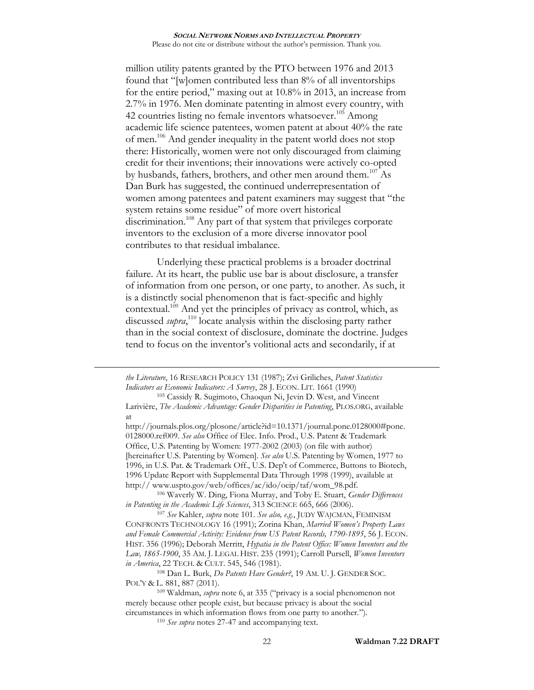million utility patents granted by the PTO between 1976 and 2013 found that "[w]omen contributed less than 8% of all inventorships for the entire period," maxing out at 10.8% in 2013, an increase from 2.7% in 1976. Men dominate patenting in almost every country, with 42 countries listing no female inventors whatsoever.<sup>105</sup> Among academic life science patentees, women patent at about 40% the rate of men.<sup>106</sup> And gender inequality in the patent world does not stop there: Historically, women were not only discouraged from claiming credit for their inventions; their innovations were actively co-opted by husbands, fathers, brothers, and other men around them.<sup>107</sup> As Dan Burk has suggested, the continued underrepresentation of women among patentees and patent examiners may suggest that "the system retains some residue" of more overt historical discrimination.<sup>108</sup> Any part of that system that privileges corporate inventors to the exclusion of a more diverse innovator pool contributes to that residual imbalance.

Underlying these practical problems is a broader doctrinal failure. At its heart, the public use bar is about disclosure, a transfer of information from one person, or one party, to another. As such, it is a distinctly social phenomenon that is fact-specific and highly contextual.<sup>109</sup> And yet the principles of privacy as control, which, as discussed *supra*, <sup>110</sup> locate analysis within the disclosing party rather than in the social context of disclosure, dominate the doctrine. Judges tend to focus on the inventor's volitional acts and secondarily, if at

*the Literature*, 16 RESEARCH POLICY 131 (1987); Zvi Griliches, *Patent Statistics Indicators as Economic Indicators: A Survey*, 28 J. ECON. LIT. 1661 (1990)

 $\overline{a}$ 

http://journals.plos.org/plosone/article?id=10.1371/journal.pone.0128000#pone. 0128000.ref009. *See also* Office of Elec. Info. Prod., U.S. Patent & Trademark Office, U.S. Patenting by Women: 1977-2002 (2003) (on file with author) [hereinafter U.S. Patenting by Women]. *See also* U.S. Patenting by Women, 1977 to 1996, in U.S. Pat. & Trademark Off., U.S. Dep't of Commerce, Buttons to Biotech, 1996 Update Report with Supplemental Data Through 1998 (1999), available at http:// www.uspto.gov/web/offices/ac/ido/oeip/taf/wom\_98.pdf.

<sup>106</sup> Waverly W. Ding, Fiona Murray, and Toby E. Stuart, *Gender Differences in Patenting in the Academic Life Sciences*, 313 SCIENCE 665, 666 (2006).

<sup>107</sup> *See* Kahler, *supra* note [101.](#page-20-0) *See also, e.g.*, JUDY WAJCMAN, FEMINISM CONFRONTS TECHNOLOGY 16 (1991); Zorina Khan, *Married Women's Property Laws and Female Commercial Activity: Evidence from US Patent Records, 1790-1895*, 56 J. ECON. HIST. 356 (1996); Deborah Merritt, *Hypatia in the Patent Office: Women Inventors and the Law, 1865-1900*, 35 AM. J. LEGAL HIST. 235 (1991); Carroll Pursell, *Women Inventors in America*, 22 TECH. & CULT. 545, 546 (1981).

<sup>108</sup> Dan L. Burk, *Do Patents Have Gender?*, 19 AM. U. J. GENDER SOC. POL'Y & L. 881, 887 (2011).

<sup>105</sup> Cassidy R. Sugimoto, Chaoqun Ni, Jevin D. West, and Vincent Larivière, *The Academic Advantage: Gender Disparities in Patenting*, PLOS.ORG, available at

<sup>109</sup> Waldman, *supra* note [6](#page-1-0), at 335 ("privacy is a social phenomenon not merely because other people exist, but because privacy is about the social circumstances in which information flows from one party to another.").

<sup>110</sup> *See supra* notes [27-](#page-7-0)[47](#page-9-1) and accompanying text.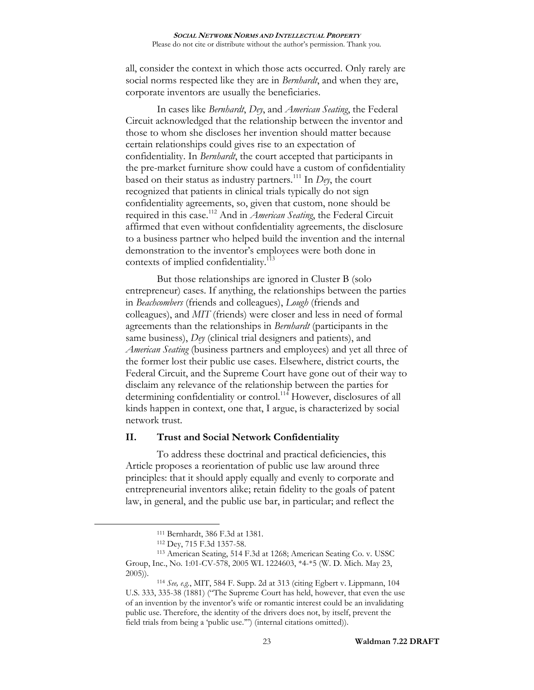all, consider the context in which those acts occurred. Only rarely are social norms respected like they are in *Bernhardt*, and when they are, corporate inventors are usually the beneficiaries.

In cases like *Bernhardt*, *Dey*, and *American Seating*, the Federal Circuit acknowledged that the relationship between the inventor and those to whom she discloses her invention should matter because certain relationships could gives rise to an expectation of confidentiality. In *Bernhardt*, the court accepted that participants in the pre-market furniture show could have a custom of confidentiality based on their status as industry partners.<sup>111</sup> In *Dey*, the court recognized that patients in clinical trials typically do not sign confidentiality agreements, so, given that custom, none should be required in this case.<sup>112</sup> And in *American Seating*, the Federal Circuit affirmed that even without confidentiality agreements, the disclosure to a business partner who helped build the invention and the internal demonstration to the inventor's employees were both done in contexts of implied confidentiality.<sup>113</sup>

But those relationships are ignored in Cluster B (solo entrepreneur) cases. If anything, the relationships between the parties in *Beachcombers* (friends and colleagues), *Lough* (friends and colleagues), and *MIT* (friends) were closer and less in need of formal agreements than the relationships in *Bernhardt* (participants in the same business), *Dey* (clinical trial designers and patients), and *American Seating* (business partners and employees) and yet all three of the former lost their public use cases. Elsewhere, district courts, the Federal Circuit, and the Supreme Court have gone out of their way to disclaim any relevance of the relationship between the parties for determining confidentiality or control.<sup>114</sup> However, disclosures of all kinds happen in context, one that, I argue, is characterized by social network trust.

## **II. Trust and Social Network Confidentiality**

To address these doctrinal and practical deficiencies, this Article proposes a reorientation of public use law around three principles: that it should apply equally and evenly to corporate and entrepreneurial inventors alike; retain fidelity to the goals of patent law, in general, and the public use bar, in particular; and reflect the

<sup>111</sup> Bernhardt, 386 F.3d at 1381.

<sup>112</sup> Dey, 715 F.3d 1357-58.

<sup>113</sup> American Seating, 514 F.3d at 1268; American Seating Co. v. USSC Group, Inc., No. 1:01-CV-578, 2005 WL 1224603, \*4-\*5 (W. D. Mich. May 23, 2005)).

<sup>114</sup> *See, e.g.*, MIT, 584 F. Supp. 2d at 313 (citing Egbert v. Lippmann, 104 U.S. 333, 335-38 (1881) ("The Supreme Court has held, however, that even the use of an invention by the inventor's wife or romantic interest could be an invalidating public use. Therefore, the identity of the drivers does not, by itself, prevent the field trials from being a 'public use.'") (internal citations omitted)).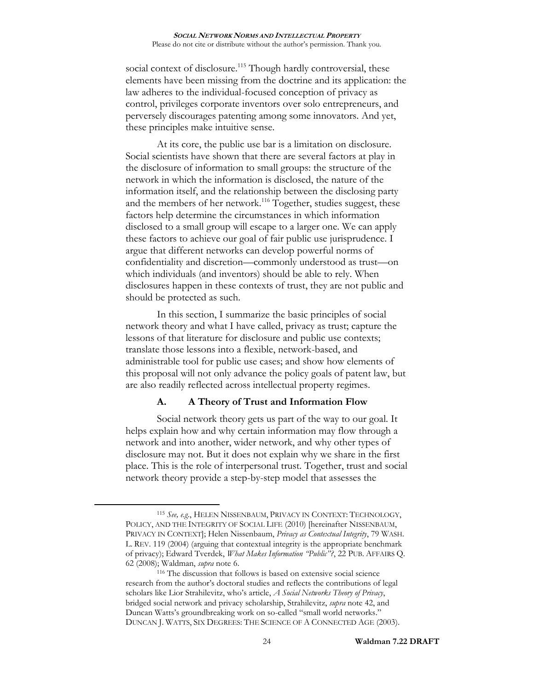social context of disclosure.<sup>115</sup> Though hardly controversial, these elements have been missing from the doctrine and its application: the law adheres to the individual-focused conception of privacy as control, privileges corporate inventors over solo entrepreneurs, and perversely discourages patenting among some innovators. And yet, these principles make intuitive sense.

<span id="page-23-0"></span>At its core, the public use bar is a limitation on disclosure. Social scientists have shown that there are several factors at play in the disclosure of information to small groups: the structure of the network in which the information is disclosed, the nature of the information itself, and the relationship between the disclosing party and the members of her network.<sup>116</sup> Together, studies suggest, these factors help determine the circumstances in which information disclosed to a small group will escape to a larger one. We can apply these factors to achieve our goal of fair public use jurisprudence. I argue that different networks can develop powerful norms of confidentiality and discretion—commonly understood as trust—on which individuals (and inventors) should be able to rely. When disclosures happen in these contexts of trust, they are not public and should be protected as such.

In this section, I summarize the basic principles of social network theory and what I have called, privacy as trust; capture the lessons of that literature for disclosure and public use contexts; translate those lessons into a flexible, network-based, and administrable tool for public use cases; and show how elements of this proposal will not only advance the policy goals of patent law, but are also readily reflected across intellectual property regimes.

## **A. A Theory of Trust and Information Flow**

Social network theory gets us part of the way to our goal. It helps explain how and why certain information may flow through a network and into another, wider network, and why other types of disclosure may not. But it does not explain why we share in the first place. This is the role of interpersonal trust. Together, trust and social network theory provide a step-by-step model that assesses the

<sup>115</sup> *See, e.g.*, HELEN NISSENBAUM, PRIVACY IN CONTEXT: TECHNOLOGY, POLICY, AND THE INTEGRITY OF SOCIAL LIFE (2010) [hereinafter NISSENBAUM, PRIVACY IN CONTEXT]; Helen Nissenbaum, *Privacy as Contextual Integrity*, 79 WASH. L. REV. 119 (2004) (arguing that contextual integrity is the appropriate benchmark of privacy); Edward Tverdek, *What Makes Information "Public"?*, 22 PUB. AFFAIRS Q. 62 (2008); Waldman, *supra* note [6.](#page-1-0)

<sup>116</sup> The discussion that follows is based on extensive social science research from the author's doctoral studies and reflects the contributions of legal scholars like Lior Strahilevitz, who's article, *A Social Networks Theory of Privacy*, bridged social network and privacy scholarship, Strahilevitz, *supra* note [42,](#page-9-2) and Duncan Watts's groundbreaking work on so-called "small world networks." DUNCAN J. WATTS, SIX DEGREES: THE SCIENCE OF A CONNECTED AGE (2003).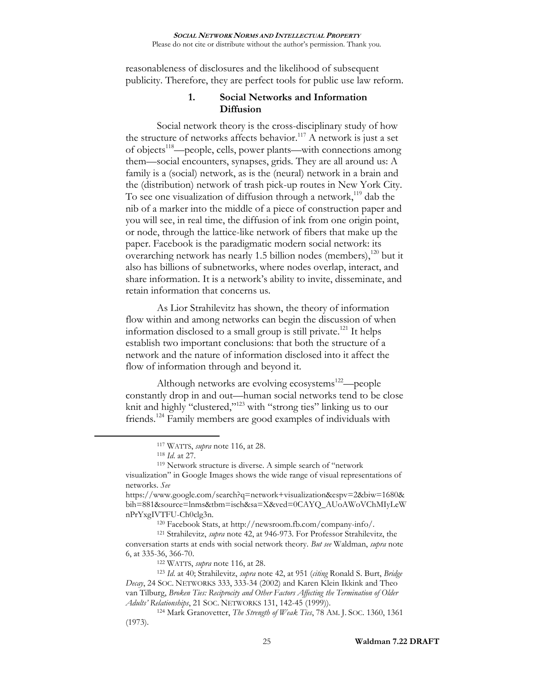reasonableness of disclosures and the likelihood of subsequent publicity. Therefore, they are perfect tools for public use law reform.

# **1. Social Networks and Information Diffusion**

Social network theory is the cross-disciplinary study of how the structure of networks affects behavior.<sup>117</sup> A network is just a set of objects<sup>118</sup>—people, cells, power plants—with connections among them—social encounters, synapses, grids. They are all around us: A family is a (social) network, as is the (neural) network in a brain and the (distribution) network of trash pick-up routes in New York City. To see one visualization of diffusion through a network,<sup>119</sup> dab the nib of a marker into the middle of a piece of construction paper and you will see, in real time, the diffusion of ink from one origin point, or node, through the lattice-like network of fibers that make up the paper. Facebook is the paradigmatic modern social network: its overarching network has nearly 1.5 billion nodes (members), $120$  but it also has billions of subnetworks, where nodes overlap, interact, and share information. It is a network's ability to invite, disseminate, and retain information that concerns us.

<span id="page-24-1"></span>As Lior Strahilevitz has shown, the theory of information flow within and among networks can begin the discussion of when information disclosed to a small group is still private.<sup>121</sup> It helps establish two important conclusions: that both the structure of a network and the nature of information disclosed into it affect the flow of information through and beyond it.

Although networks are evolving ecosystems $122$ —people constantly drop in and out—human social networks tend to be close knit and highly "clustered,"<sup>123</sup> with "strong ties" linking us to our friends.<sup>124</sup> Family members are good examples of individuals with

<span id="page-24-0"></span><sup>117</sup> WATTS, *supra* note [116,](#page-23-0) at 28.

<sup>118</sup> *Id*. at 27.

<sup>119</sup> Network structure is diverse. A simple search of "network visualization" in Google Images shows the wide range of visual representations of networks. *See*

https://www.google.com/search?q=network+visualization&espv=2&biw=1680& bih=881&source=lnms&tbm=isch&sa=X&ved=0CAYQ\_AUoAWoVChMIyLeW nPrYxgIVTFU-Ch0clg3n.

<sup>120</sup> Facebook Stats, at http://newsroom.fb.com/company-info/.

<sup>121</sup> Strahilevitz, *supra* note [42,](#page-9-2) at 946-973. For Professor Strahilevitz, the conversation starts at ends with social network theory. *But see* Waldman, *supra* note [6,](#page-1-0) at 335-36, 366-70.

<sup>122</sup> WATTS, *supra* note [116,](#page-23-0) at 28.

<sup>123</sup> *Id*. at 40; Strahilevitz, *supra* note [42,](#page-9-2) at 951 (*citing* Ronald S. Burt, *Bridge Decay*, 24 SOC. NETWORKS 333, 333-34 (2002) and Karen Klein Ikkink and Theo van Tilburg, *Broken Ties: Reciprocity and Other Factors Affecting the Termination of Older Adults' Relationships*, 21 SOC. NETWORKS 131, 142-45 (1999)).

<sup>124</sup> Mark Granovetter, *The Strength of Weak Ties*, 78 AM. J. SOC. 1360, 1361 (1973).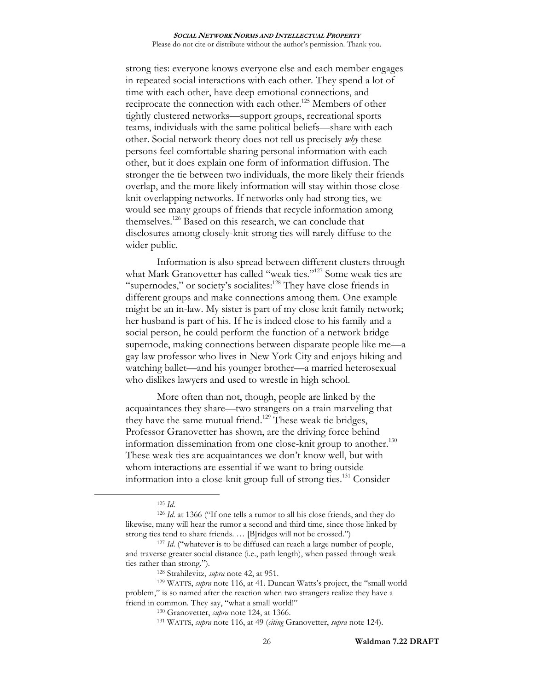strong ties: everyone knows everyone else and each member engages in repeated social interactions with each other. They spend a lot of time with each other, have deep emotional connections, and reciprocate the connection with each other.<sup>125</sup> Members of other tightly clustered networks—support groups, recreational sports teams, individuals with the same political beliefs—share with each other. Social network theory does not tell us precisely *why* these persons feel comfortable sharing personal information with each other, but it does explain one form of information diffusion. The stronger the tie between two individuals, the more likely their friends overlap, and the more likely information will stay within those closeknit overlapping networks. If networks only had strong ties, we would see many groups of friends that recycle information among themselves.<sup>126</sup> Based on this research, we can conclude that disclosures among closely-knit strong ties will rarely diffuse to the wider public.

Information is also spread between different clusters through what Mark Granovetter has called "weak ties."<sup>127</sup> Some weak ties are "supernodes," or society's socialites:<sup>128</sup> They have close friends in different groups and make connections among them. One example might be an in-law. My sister is part of my close knit family network; her husband is part of his. If he is indeed close to his family and a social person, he could perform the function of a network bridge supernode, making connections between disparate people like me—a gay law professor who lives in New York City and enjoys hiking and watching ballet—and his younger brother—a married heterosexual who dislikes lawyers and used to wrestle in high school.

More often than not, though, people are linked by the acquaintances they share—two strangers on a train marveling that they have the same mutual friend.<sup>129</sup> These weak tie bridges, Professor Granovetter has shown, are the driving force behind information dissemination from one close-knit group to another.<sup>130</sup> These weak ties are acquaintances we don't know well, but with whom interactions are essential if we want to bring outside information into a close-knit group full of strong ties.<sup>131</sup> Consider

<sup>125</sup> *Id*.

<sup>126</sup> *Id*. at 1366 ("If one tells a rumor to all his close friends, and they do likewise, many will hear the rumor a second and third time, since those linked by strong ties tend to share friends. … [B]ridges will not be crossed.")

<sup>&</sup>lt;sup>127</sup> *Id.* ("whatever is to be diffused can reach a large number of people, and traverse greater social distance (i.e., path length), when passed through weak ties rather than strong.").

<sup>128</sup> Strahilevitz, *supra* note [42,](#page-9-2) at 951.

<sup>129</sup> WATTS, *supra* note [116](#page-23-0), at 41. Duncan Watts's project, the "small world problem," is so named after the reaction when two strangers realize they have a friend in common. They say, "what a small world!"

<sup>130</sup> Granovetter, *supra* note [124,](#page-24-0) at 1366.

<sup>131</sup> WATTS, *supra* note [116,](#page-23-0) at 49 (*citing* Granovetter, *supra* note [124\)](#page-24-0).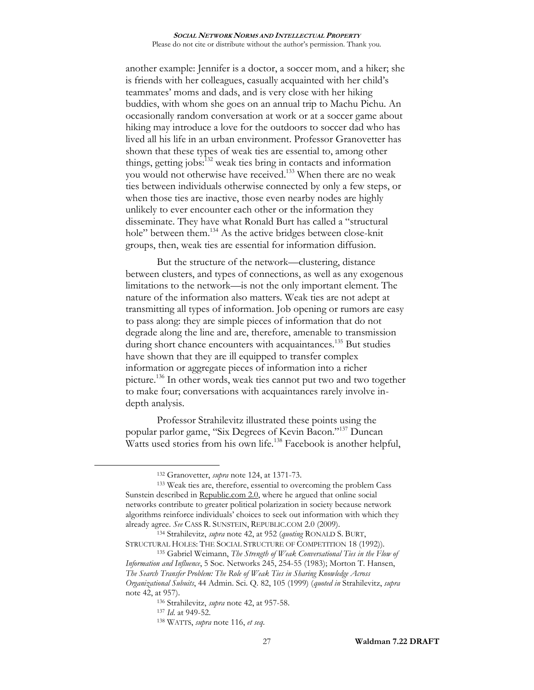another example: Jennifer is a doctor, a soccer mom, and a hiker; she is friends with her colleagues, casually acquainted with her child's teammates' moms and dads, and is very close with her hiking buddies, with whom she goes on an annual trip to Machu Pichu. An occasionally random conversation at work or at a soccer game about hiking may introduce a love for the outdoors to soccer dad who has lived all his life in an urban environment. Professor Granovetter has shown that these types of weak ties are essential to, among other things, getting jobs: $132$  weak ties bring in contacts and information you would not otherwise have received.<sup>133</sup> When there are no weak ties between individuals otherwise connected by only a few steps, or when those ties are inactive, those even nearby nodes are highly unlikely to ever encounter each other or the information they disseminate. They have what Ronald Burt has called a "structural hole" between them.<sup>134</sup> As the active bridges between close-knit groups, then, weak ties are essential for information diffusion.

But the structure of the network—clustering, distance between clusters, and types of connections, as well as any exogenous limitations to the network—is not the only important element. The nature of the information also matters. Weak ties are not adept at transmitting all types of information. Job opening or rumors are easy to pass along: they are simple pieces of information that do not degrade along the line and are, therefore, amenable to transmission during short chance encounters with acquaintances.<sup>135</sup> But studies have shown that they are ill equipped to transfer complex information or aggregate pieces of information into a richer picture.<sup>136</sup> In other words, weak ties cannot put two and two together to make four; conversations with acquaintances rarely involve indepth analysis.

<span id="page-26-0"></span>Professor Strahilevitz illustrated these points using the popular parlor game, "Six Degrees of Kevin Bacon."<sup>137</sup> Duncan Watts used stories from his own life.<sup>138</sup> Facebook is another helpful,

<sup>132</sup> Granovetter, *supra* note [124,](#page-24-0) at 1371-73.

<sup>133</sup> Weak ties are, therefore, essential to overcoming the problem Cass Sunstein described in Republic.com 2.0, where he argued that online social networks contribute to greater political polarization in society because network algorithms reinforce individuals' choices to seek out information with which they already agree. *See* CASS R. SUNSTEIN, REPUBLIC.COM 2.0 (2009).

<sup>134</sup> Strahilevitz, *supra* note [42,](#page-9-2) at 952 (*quoting* RONALD S. BURT, STRUCTURAL HOLES: THE SOCIAL STRUCTURE OF COMPETITION 18 (1992)).

<sup>135</sup> Gabriel Weimann, *The Strength of Weak Conversational Ties in the Flow of Information and Influence*, 5 Soc. Networks 245, 254-55 (1983); Morton T. Hansen, *The Search Transfer Problem: The Role of Weak Ties in Sharing Knowledge Across Organizational Subuits*, 44 Admin. Sci. Q. 82, 105 (1999) (*quoted in* Strahilevitz, *supra* note [42,](#page-9-2) at 957).

<sup>136</sup> Strahilevitz, *supra* note [42,](#page-9-2) at 957-58.

<sup>137</sup> *Id*. at 949-52.

<sup>138</sup> WATTS, *supra* note [116,](#page-23-0) *et seq*.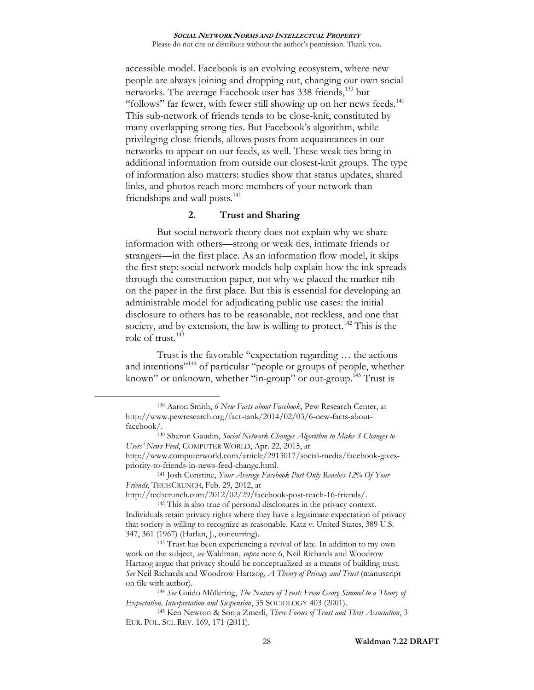accessible model. Facebook is an evolving ecosystem, where new people are always joining and dropping out, changing our own social networks. The average Facebook user has 338 friends,<sup>139</sup> but "follows" far fewer, with fewer still showing up on her news feeds. $140$ This sub-network of friends tends to be close-knit, constituted by many overlapping strong ties. But Facebook's algorithm, while privileging close friends, allows posts from acquaintances in our networks to appear on our feeds, as well. These weak ties bring in additional information from outside our closest-knit groups. The type of information also matters: studies show that status updates, shared links, and photos reach more members of your network than friendships and wall posts.<sup>141</sup>

## <span id="page-27-0"></span>**2. Trust and Sharing**

But social network theory does not explain why we share information with others—strong or weak ties, intimate friends or strangers—in the first place. As an information flow model, it skips the first step: social network models help explain how the ink spreads through the construction paper, not why we placed the marker nib on the paper in the first place. But this is essential for developing an administrable model for adjudicating public use cases: the initial disclosure to others has to be reasonable, not reckless, and one that society, and by extension, the law is willing to protect.<sup>142</sup> This is the role of trust. $143$ 

Trust is the favorable "expectation regarding … the actions and intentions"<sup>144</sup> of particular "people or groups of people, whether known" or unknown, whether "in-group" or out-group.<sup>145</sup> Trust is

 $\overline{a}$ 

http://techcrunch.com/2012/02/29/facebook-post-reach-16-friends/.

<sup>139</sup> Aaron Smith, *6 New Facts about Facebook*, Pew Research Center, at http://www.pewresearch.org/fact-tank/2014/02/03/6-new-facts-aboutfacebook/.

<sup>140</sup> Sharon Gaudin, *Social Network Changes Algorithm to Make 3 Changes to Users' News Feed*, COMPUTER WORLD, Apr. 22, 2015, at http://www.computerworld.com/article/2913017/social-media/facebook-givespriority-to-friends-in-news-feed-change.html.

<sup>141</sup> Josh Constine, *Your Average Facebook Post Only Reaches 12% Of Your Friends*, TECHCRUNCH, Feb. 29, 2012, at

<sup>142</sup> This is also true of personal disclosures in the privacy context. Individuals retain privacy rights where they have a legitimate expectation of privacy that society is willing to recognize as reasonable. Katz v. United States, 389 U.S. 347, 361 (1967) (Harlan, J., concurring).

<sup>143</sup> Trust has been experiencing a revival of late. In addition to my own work on the subject, *see* Waldman, *supra* note [6,](#page-1-0) Neil Richards and Woodrow Hartzog argue that privacy should be conceptualized as a means of building trust. *See* Neil Richards and Woodrow Hartzog, *A Theory of Privacy and Trust* (manuscript on file with author).

<sup>144</sup> *See* Guido Möllering, *The Nature of Trust: From Georg Simmel to a Theory of Expectation, Interpretation and Suspension*, 35 SOCIOLOGY 403 (2001).

<sup>145</sup> Ken Newton & Sonja Zmerli, *Three Forms of Trust and Their Association*, 3 EUR. POL. SCI. REV. 169, 171 (2011).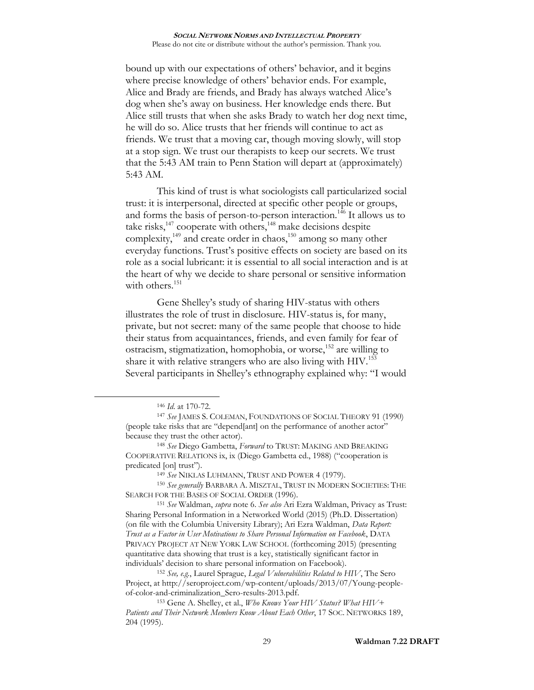bound up with our expectations of others' behavior, and it begins where precise knowledge of others' behavior ends. For example, Alice and Brady are friends, and Brady has always watched Alice's dog when she's away on business. Her knowledge ends there. But Alice still trusts that when she asks Brady to watch her dog next time, he will do so. Alice trusts that her friends will continue to act as friends. We trust that a moving car, though moving slowly, will stop at a stop sign. We trust our therapists to keep our secrets. We trust that the 5:43 AM train to Penn Station will depart at (approximately) 5:43 AM.

This kind of trust is what sociologists call particularized social trust: it is interpersonal, directed at specific other people or groups, and forms the basis of person-to-person interaction.<sup>146</sup> It allows us to take risks, $147$  cooperate with others, $148$  make decisions despite complexity,<sup>149</sup> and create order in chaos,<sup>150</sup> among so many other everyday functions. Trust's positive effects on society are based on its role as a social lubricant: it is essential to all social interaction and is at the heart of why we decide to share personal or sensitive information with others. $151$ 

<span id="page-28-0"></span>Gene Shelley's study of sharing HIV-status with others illustrates the role of trust in disclosure. HIV-status is, for many, private, but not secret: many of the same people that choose to hide their status from acquaintances, friends, and even family for fear of ostracism, stigmatization, homophobia, or worse,  $152$  are willing to share it with relative strangers who are also living with  $HIV$ <sup>153</sup> Several participants in Shelley's ethnography explained why: "I would

<sup>146</sup> *Id*. at 170-72.

<sup>147</sup> *See* JAMES S. COLEMAN, FOUNDATIONS OF SOCIAL THEORY 91 (1990) (people take risks that are "depend[ant] on the performance of another actor" because they trust the other actor).

<sup>148</sup> *See* Diego Gambetta, *Forward* to TRUST: MAKING AND BREAKING COOPERATIVE RELATIONS ix, ix (Diego Gambetta ed., 1988) ("cooperation is predicated [on] trust").

<sup>149</sup> *See* NIKLAS LUHMANN, TRUST AND POWER 4 (1979).

<sup>150</sup> *See generally* BARBARA A. MISZTAL, TRUST IN MODERN SOCIETIES: THE SEARCH FOR THE BASES OF SOCIAL ORDER (1996).

<sup>151</sup> *See* Waldman, *supra* note [6.](#page-1-0) *See also* Ari Ezra Waldman, Privacy as Trust: Sharing Personal Information in a Networked World (2015) (Ph.D. Dissertation) (on file with the Columbia University Library); Ari Ezra Waldman, *Data Report: Trust as a Factor in User Motivations to Share Personal Information on Facebook*, DATA PRIVACY PROJECT AT NEW YORK LAW SCHOOL (forthcoming 2015) (presenting quantitative data showing that trust is a key, statistically significant factor in individuals' decision to share personal information on Facebook).

<sup>152</sup> *See, e.g.*, Laurel Sprague, *Legal Vulnerabilities Related to HIV*, The Sero Project, at http://seroproject.com/wp-content/uploads/2013/07/Young-peopleof-color-and-criminalization\_Sero-results-2013.pdf.

<sup>153</sup> Gene A. Shelley, et al., *Who Knows Your HIV Status? What HIV+ Patients and Their Network Members Know About Each Other*, 17 SOC. NETWORKS 189, 204 (1995).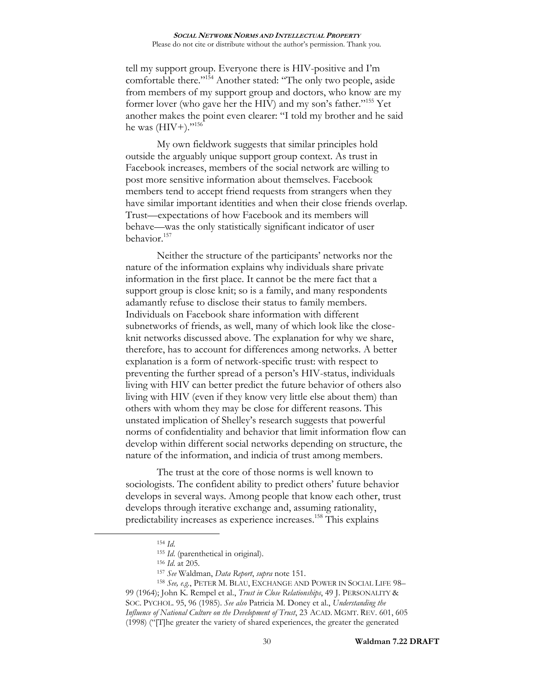tell my support group. Everyone there is HIV-positive and I'm comfortable there."<sup>154</sup> Another stated: "The only two people, aside from members of my support group and doctors, who know are my former lover (who gave her the HIV) and my son's father."<sup>155</sup> Yet another makes the point even clearer: "I told my brother and he said he was (HIV+)."<sup>156</sup>

My own fieldwork suggests that similar principles hold outside the arguably unique support group context. As trust in Facebook increases, members of the social network are willing to post more sensitive information about themselves. Facebook members tend to accept friend requests from strangers when they have similar important identities and when their close friends overlap. Trust—expectations of how Facebook and its members will behave—was the only statistically significant indicator of user behavior.<sup>157</sup>

Neither the structure of the participants' networks nor the nature of the information explains why individuals share private information in the first place. It cannot be the mere fact that a support group is close knit; so is a family, and many respondents adamantly refuse to disclose their status to family members. Individuals on Facebook share information with different subnetworks of friends, as well, many of which look like the closeknit networks discussed above. The explanation for why we share, therefore, has to account for differences among networks. A better explanation is a form of network-specific trust: with respect to preventing the further spread of a person's HIV-status, individuals living with HIV can better predict the future behavior of others also living with HIV (even if they know very little else about them) than others with whom they may be close for different reasons. This unstated implication of Shelley's research suggests that powerful norms of confidentiality and behavior that limit information flow can develop within different social networks depending on structure, the nature of the information, and indicia of trust among members.

The trust at the core of those norms is well known to sociologists. The confident ability to predict others' future behavior develops in several ways. Among people that know each other, trust develops through iterative exchange and, assuming rationality, predictability increases as experience increases. <sup>158</sup> This explains

<sup>154</sup> *Id*.

<sup>155</sup> *Id*. (parenthetical in original).

<sup>156</sup> *Id*. at 205.

<sup>157</sup> *See* Waldman, *Data Report*, *supra* not[e 151.](#page-28-0)

<sup>158</sup> *See, e.g.*, PETER M. BLAU, EXCHANGE AND POWER IN SOCIAL LIFE 98–

<sup>99 (1964);</sup> John K. Rempel et al., *Trust in Close Relationships*, 49 J. PERSONALITY & SOC. PYCHOL. 95, 96 (1985). *See also* Patricia M. Doney et al., *Understanding the Influence of National Culture on the Development of Trust*, 23 ACAD. MGMT. REV. 601, 605 (1998) ("[T]he greater the variety of shared experiences, the greater the generated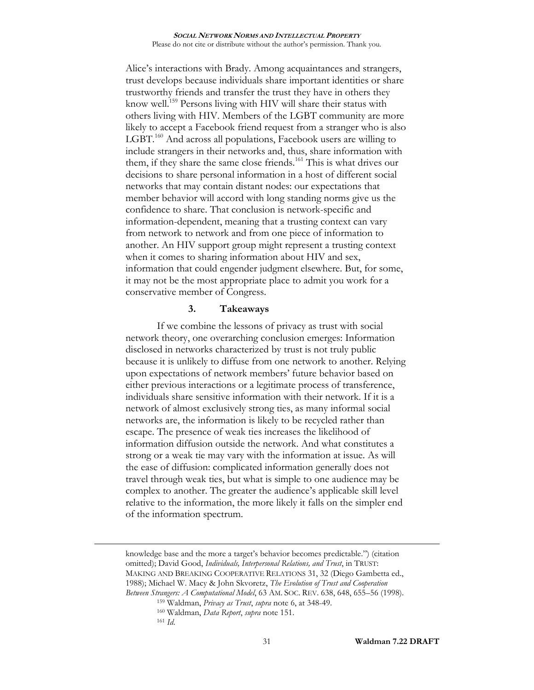Alice's interactions with Brady. Among acquaintances and strangers, trust develops because individuals share important identities or share trustworthy friends and transfer the trust they have in others they know well.<sup>159</sup> Persons living with HIV will share their status with others living with HIV. Members of the LGBT community are more likely to accept a Facebook friend request from a stranger who is also LGBT.<sup>160</sup> And across all populations, Facebook users are willing to include strangers in their networks and, thus, share information with them, if they share the same close friends.<sup>161</sup> This is what drives our decisions to share personal information in a host of different social networks that may contain distant nodes: our expectations that member behavior will accord with long standing norms give us the confidence to share. That conclusion is network-specific and information-dependent, meaning that a trusting context can vary from network to network and from one piece of information to another. An HIV support group might represent a trusting context when it comes to sharing information about HIV and sex, information that could engender judgment elsewhere. But, for some, it may not be the most appropriate place to admit you work for a conservative member of Congress.

## **3. Takeaways**

If we combine the lessons of privacy as trust with social network theory, one overarching conclusion emerges: Information disclosed in networks characterized by trust is not truly public because it is unlikely to diffuse from one network to another. Relying upon expectations of network members' future behavior based on either previous interactions or a legitimate process of transference, individuals share sensitive information with their network. If it is a network of almost exclusively strong ties, as many informal social networks are, the information is likely to be recycled rather than escape. The presence of weak ties increases the likelihood of information diffusion outside the network. And what constitutes a strong or a weak tie may vary with the information at issue. As will the ease of diffusion: complicated information generally does not travel through weak ties, but what is simple to one audience may be complex to another. The greater the audience's applicable skill level relative to the information, the more likely it falls on the simpler end of the information spectrum.

knowledge base and the more a target's behavior becomes predictable.") (citation omitted); David Good, *Individuals, Interpersonal Relations, and Trust*, in TRUST: MAKING AND BREAKING COOPERATIVE RELATIONS 31, 32 (Diego Gambetta ed., 1988); Michael W. Macy & John Skvoretz, *The Evolution of Trust and Cooperation Between Strangers: A Computational Model*, 63 AM. SOC. REV. 638, 648, 655–56 (1998).

<sup>159</sup> Waldman, *Privacy as Trust*, *supra* note [6,](#page-1-0) at 348-49.

<sup>160</sup> Waldman, *Data Report*, *supra* note [151.](#page-28-0)

<sup>161</sup> *Id*.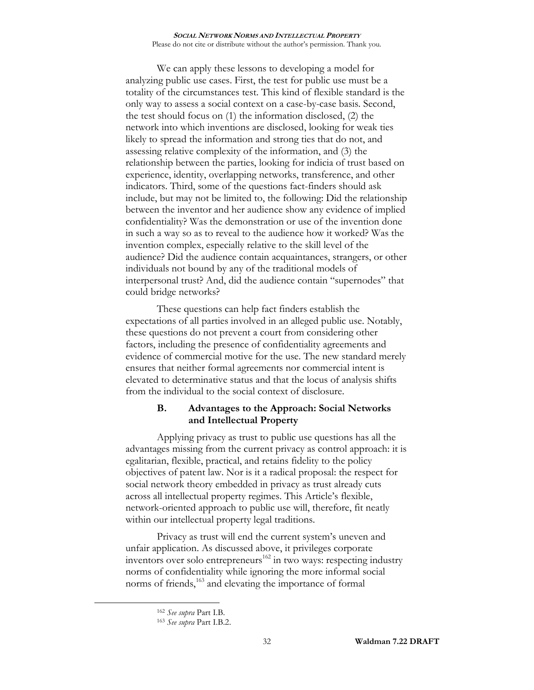We can apply these lessons to developing a model for analyzing public use cases. First, the test for public use must be a totality of the circumstances test. This kind of flexible standard is the only way to assess a social context on a case-by-case basis. Second, the test should focus on (1) the information disclosed, (2) the network into which inventions are disclosed, looking for weak ties likely to spread the information and strong ties that do not, and assessing relative complexity of the information, and (3) the relationship between the parties, looking for indicia of trust based on experience, identity, overlapping networks, transference, and other indicators. Third, some of the questions fact-finders should ask include, but may not be limited to, the following: Did the relationship between the inventor and her audience show any evidence of implied confidentiality? Was the demonstration or use of the invention done in such a way so as to reveal to the audience how it worked? Was the invention complex, especially relative to the skill level of the audience? Did the audience contain acquaintances, strangers, or other individuals not bound by any of the traditional models of interpersonal trust? And, did the audience contain "supernodes" that could bridge networks?

These questions can help fact finders establish the expectations of all parties involved in an alleged public use. Notably, these questions do not prevent a court from considering other factors, including the presence of confidentiality agreements and evidence of commercial motive for the use. The new standard merely ensures that neither formal agreements nor commercial intent is elevated to determinative status and that the locus of analysis shifts from the individual to the social context of disclosure.

# **B. Advantages to the Approach: Social Networks and Intellectual Property**

Applying privacy as trust to public use questions has all the advantages missing from the current privacy as control approach: it is egalitarian, flexible, practical, and retains fidelity to the policy objectives of patent law. Nor is it a radical proposal: the respect for social network theory embedded in privacy as trust already cuts across all intellectual property regimes. This Article's flexible, network-oriented approach to public use will, therefore, fit neatly within our intellectual property legal traditions.

Privacy as trust will end the current system's uneven and unfair application. As discussed above, it privileges corporate inventors over solo entrepreneurs $162$  in two ways: respecting industry norms of confidentiality while ignoring the more informal social norms of friends,<sup>163</sup> and elevating the importance of formal

<sup>162</sup> *See supra* Part I.B.

<sup>163</sup> *See supra* Part I.B.2.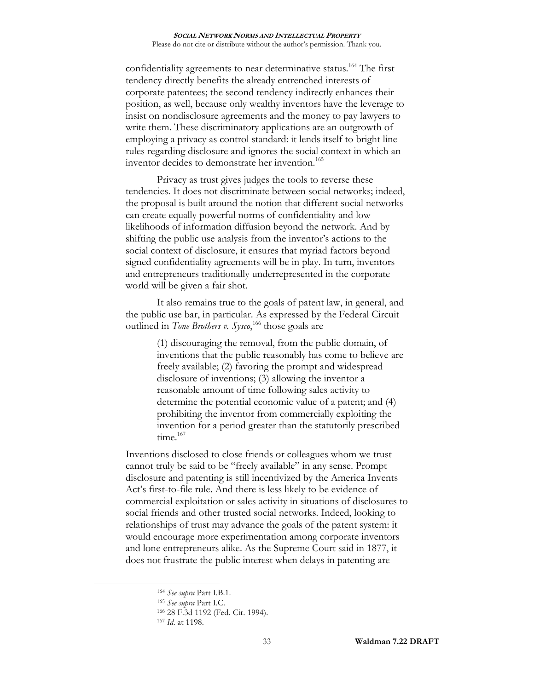confidentiality agreements to near determinative status.<sup>164</sup> The first tendency directly benefits the already entrenched interests of corporate patentees; the second tendency indirectly enhances their position, as well, because only wealthy inventors have the leverage to insist on nondisclosure agreements and the money to pay lawyers to write them. These discriminatory applications are an outgrowth of employing a privacy as control standard: it lends itself to bright line rules regarding disclosure and ignores the social context in which an inventor decides to demonstrate her invention.<sup>165</sup>

Privacy as trust gives judges the tools to reverse these tendencies. It does not discriminate between social networks; indeed, the proposal is built around the notion that different social networks can create equally powerful norms of confidentiality and low likelihoods of information diffusion beyond the network. And by shifting the public use analysis from the inventor's actions to the social context of disclosure, it ensures that myriad factors beyond signed confidentiality agreements will be in play. In turn, inventors and entrepreneurs traditionally underrepresented in the corporate world will be given a fair shot.

It also remains true to the goals of patent law, in general, and the public use bar, in particular. As expressed by the Federal Circuit outlined in *Tone Brothers v. Sysco*,<sup>166</sup> those goals are

> (1) discouraging the removal, from the public domain, of inventions that the public reasonably has come to believe are freely available; (2) favoring the prompt and widespread disclosure of inventions; (3) allowing the inventor a reasonable amount of time following sales activity to determine the potential economic value of a patent; and (4) prohibiting the inventor from commercially exploiting the invention for a period greater than the statutorily prescribed time. $167$

Inventions disclosed to close friends or colleagues whom we trust cannot truly be said to be "freely available" in any sense. Prompt disclosure and patenting is still incentivized by the America Invents Act's first-to-file rule. And there is less likely to be evidence of commercial exploitation or sales activity in situations of disclosures to social friends and other trusted social networks. Indeed, looking to relationships of trust may advance the goals of the patent system: it would encourage more experimentation among corporate inventors and lone entrepreneurs alike. As the Supreme Court said in 1877, it does not frustrate the public interest when delays in patenting are

<sup>164</sup> *See supra* Part I.B.1.

<sup>165</sup> *See supra* Part I.C.

<sup>166</sup> 28 F.3d 1192 (Fed. Cir. 1994).

<sup>167</sup> *Id*. at 1198.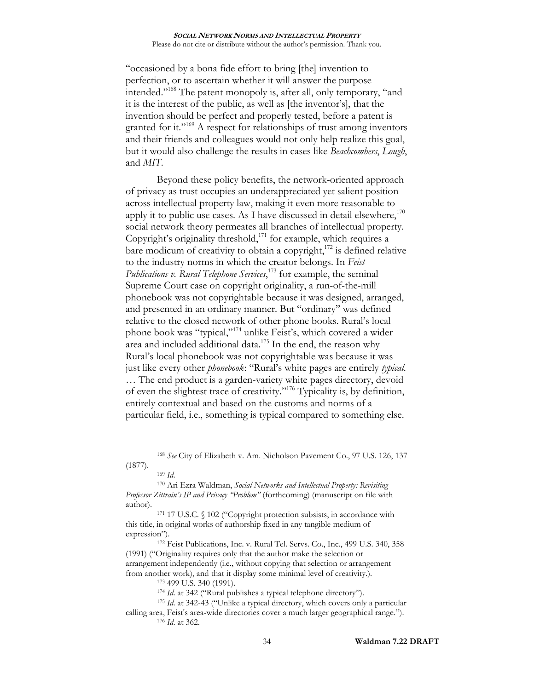"occasioned by a bona fide effort to bring [the] invention to perfection, or to ascertain whether it will answer the purpose intended."<sup>168</sup> The patent monopoly is, after all, only temporary, "and it is the interest of the public, as well as [the inventor's], that the invention should be perfect and properly tested, before a patent is granted for it."<sup>169</sup> A respect for relationships of trust among inventors and their friends and colleagues would not only help realize this goal, but it would also challenge the results in cases like *Beachcombers*, *Lough*, and *MIT*.

<span id="page-33-0"></span>Beyond these policy benefits, the network-oriented approach of privacy as trust occupies an underappreciated yet salient position across intellectual property law, making it even more reasonable to apply it to public use cases. As I have discussed in detail elsewhere, $170$ social network theory permeates all branches of intellectual property. Copyright's originality threshold, $171$  for example, which requires a bare modicum of creativity to obtain a copyright, $172$  is defined relative to the industry norms in which the creator belongs. In *Feist Publications v. Rural Telephone Services*, <sup>173</sup> for example, the seminal Supreme Court case on copyright originality, a run-of-the-mill phonebook was not copyrightable because it was designed, arranged, and presented in an ordinary manner. But "ordinary" was defined relative to the closed network of other phone books. Rural's local phone book was "typical,"<sup>174</sup> unlike Feist's, which covered a wider area and included additional data.<sup>175</sup> In the end, the reason why Rural's local phonebook was not copyrightable was because it was just like every other *phonebook*: "Rural's white pages are entirely *typical*. … The end product is a garden-variety white pages directory, devoid of even the slightest trace of creativity." <sup>176</sup> Typicality is, by definition, entirely contextual and based on the customs and norms of a particular field, i.e., something is typical compared to something else.

<sup>168</sup> *See* City of Elizabeth v. Am. Nicholson Pavement Co., 97 U.S. 126, 137 (1877).

<sup>169</sup> *Id*.

<sup>170</sup> Ari Ezra Waldman, *Social Networks and Intellectual Property: Revisiting Professor Zittrain's IP and Privacy "Problem"* (forthcoming) (manuscript on file with author).

<sup>171 17</sup> U.S.C. § 102 ("Copyright protection subsists, in accordance with this title, in original works of authorship fixed in any tangible medium of expression").

<sup>172</sup> Feist Publications, Inc. v. Rural Tel. Servs. Co., Inc., 499 U.S. 340, 358 (1991) ("Originality requires only that the author make the selection or arrangement independently (i.e., without copying that selection or arrangement from another work), and that it display some minimal level of creativity.).

<sup>173</sup> 499 U.S. 340 (1991).

<sup>174</sup> *Id*. at 342 ("Rural publishes a typical telephone directory").

<sup>175</sup> *Id*. at 342-43 ("Unlike a typical directory, which covers only a particular calling area, Feist's area-wide directories cover a much larger geographical range.").

<sup>176</sup> *Id*. at 362.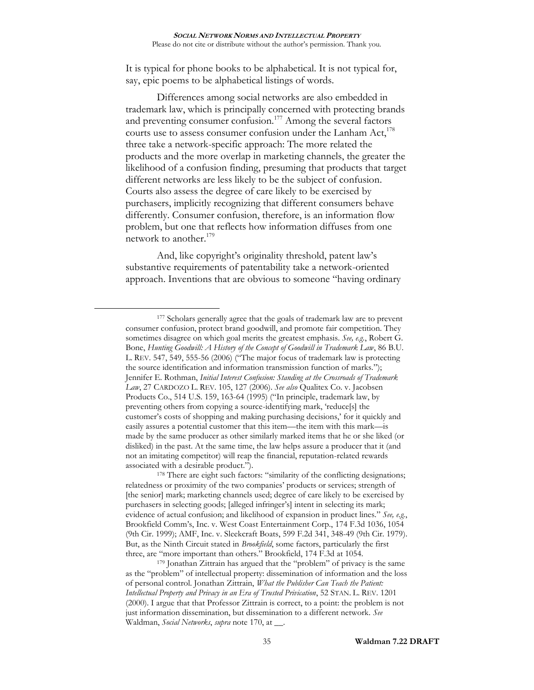It is typical for phone books to be alphabetical. It is not typical for, say, epic poems to be alphabetical listings of words.

Differences among social networks are also embedded in trademark law, which is principally concerned with protecting brands and preventing consumer confusion.<sup>177</sup> Among the several factors courts use to assess consumer confusion under the Lanham Act, $^{178}$ three take a network-specific approach: The more related the products and the more overlap in marketing channels, the greater the likelihood of a confusion finding, presuming that products that target different networks are less likely to be the subject of confusion. Courts also assess the degree of care likely to be exercised by purchasers, implicitly recognizing that different consumers behave differently. Consumer confusion, therefore, is an information flow problem, but one that reflects how information diffuses from one network to another.<sup>179</sup>

And, like copyright's originality threshold, patent law's substantive requirements of patentability take a network-oriented approach. Inventions that are obvious to someone "having ordinary

 $\overline{a}$ 

<sup>178</sup> There are eight such factors: "similarity of the conflicting designations; relatedness or proximity of the two companies' products or services; strength of [the senior] mark; marketing channels used; degree of care likely to be exercised by purchasers in selecting goods; [alleged infringer's] intent in selecting its mark; evidence of actual confusion; and likelihood of expansion in product lines." *See, e.g.*, Brookfield Comm's, Inc. v. West Coast Entertainment Corp., 174 F.3d 1036, 1054 (9th Cir. 1999); AMF, Inc. v. Sleekcraft Boats, 599 F.2d 341, 348-49 (9th Cir. 1979). But, as the Ninth Circuit stated in *Brookfield*, some factors, particularly the first three, are "more important than others." Brookfield, 174 F.3d at 1054.

<sup>177</sup> Scholars generally agree that the goals of trademark law are to prevent consumer confusion, protect brand goodwill, and promote fair competition. They sometimes disagree on which goal merits the greatest emphasis. *See, e.g.*, Robert G. Bone, *Hunting Goodwill: A History of the Concept of Goodwill in Trademark Law*, 86 B.U. L. REV. 547, 549, 555-56 (2006) ("The major focus of trademark law is protecting the source identification and information transmission function of marks."); Jennifer E. Rothman, *Initial Interest Confusion: Standing at the Crossroads of Trademark Law*, 27 CARDOZO L. REV. 105, 127 (2006). *See also* Qualitex Co. v. Jacobsen Products Co., 514 U.S. 159, 163-64 (1995) ("In principle, trademark law, by preventing others from copying a source-identifying mark, 'reduce[s] the customer's costs of shopping and making purchasing decisions,' for it quickly and easily assures a potential customer that this item—the item with this mark—is made by the same producer as other similarly marked items that he or she liked (or disliked) in the past. At the same time, the law helps assure a producer that it (and not an imitating competitor) will reap the financial, reputation-related rewards associated with a desirable product.").

<sup>179</sup> Jonathan Zittrain has argued that the "problem" of privacy is the same as the "problem" of intellectual property: dissemination of information and the loss of personal control. Jonathan Zittrain, *What the Publisher Can Teach the Patient: Intellectual Property and Privacy in an Era of Trusted Privication*, 52 STAN. L. REV. 1201 (2000). I argue that that Professor Zittrain is correct, to a point: the problem is not just information dissemination, but dissemination to a different network. *See*  Waldman, *Social Networks*, *supra* note [170,](#page-33-0) at \_\_.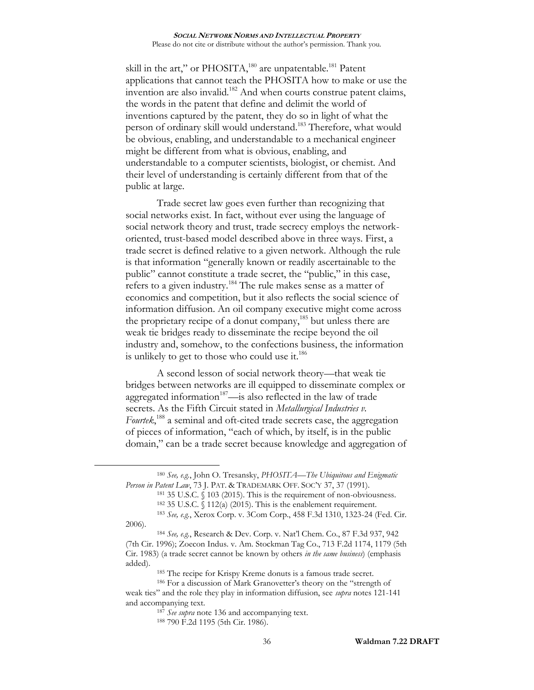skill in the art," or PHOSITA,<sup>180</sup> are unpatentable.<sup>181</sup> Patent applications that cannot teach the PHOSITA how to make or use the invention are also invalid.<sup>182</sup> And when courts construe patent claims, the words in the patent that define and delimit the world of inventions captured by the patent, they do so in light of what the person of ordinary skill would understand.<sup>183</sup> Therefore, what would be obvious, enabling, and understandable to a mechanical engineer might be different from what is obvious, enabling, and understandable to a computer scientists, biologist, or chemist. And their level of understanding is certainly different from that of the public at large.

Trade secret law goes even further than recognizing that social networks exist. In fact, without ever using the language of social network theory and trust, trade secrecy employs the networkoriented, trust-based model described above in three ways. First, a trade secret is defined relative to a given network. Although the rule is that information "generally known or readily ascertainable to the public" cannot constitute a trade secret, the "public," in this case, refers to a given industry.<sup>184</sup> The rule makes sense as a matter of economics and competition, but it also reflects the social science of information diffusion. An oil company executive might come across the proprietary recipe of a donut company, $185$  but unless there are weak tie bridges ready to disseminate the recipe beyond the oil industry and, somehow, to the confections business, the information is unlikely to get to those who could use it. $186$ 

A second lesson of social network theory—that weak tie bridges between networks are ill equipped to disseminate complex or aggregated information<sup>187</sup>—is also reflected in the law of trade secrets. As the Fifth Circuit stated in *Metallurgical Industries v.*  Fourtek,<sup>188</sup> a seminal and oft-cited trade secrets case, the aggregation of pieces of information, "each of which, by itself, is in the public domain," can be a trade secret because knowledge and aggregation of

<sup>180</sup> *See, e.g.*, John O. Tresansky, *PHOSITA—The Ubiquitous and Enigmatic Person in Patent Law*, 73 J. PAT. & TRADEMARK OFF. SOC'Y 37, 37 (1991).

<sup>181</sup> 35 U.S.C. § 103 (2015). This is the requirement of non-obviousness.  $182$  35 U.S.C. § 112(a) (2015). This is the enablement requirement.

<sup>183</sup> *See, e.g.*, Xerox Corp. v. 3Com Corp., 458 F.3d 1310, 1323-24 (Fed. Cir. 2006).

<sup>184</sup> *See, e.g.*, Research & Dev. Corp. v. Nat'l Chem. Co., 87 F.3d 937, 942 (7th Cir. 1996); Zoecon Indus. v. Am. Stockman Tag Co., 713 F.2d 1174, 1179 (5th Cir. 1983) (a trade secret cannot be known by others *in the same business*) (emphasis added).

<sup>185</sup> The recipe for Krispy Kreme donuts is a famous trade secret.

<sup>186</sup> For a discussion of Mark Granovetter's theory on the "strength of weak ties" and the role they play in information diffusion, see *supra* note[s 121-](#page-24-1)[141](#page-27-0) and accompanying text.

<sup>187</sup> *See supra* note [136](#page-26-0) and accompanying text.

<sup>188</sup> 790 F.2d 1195 (5th Cir. 1986).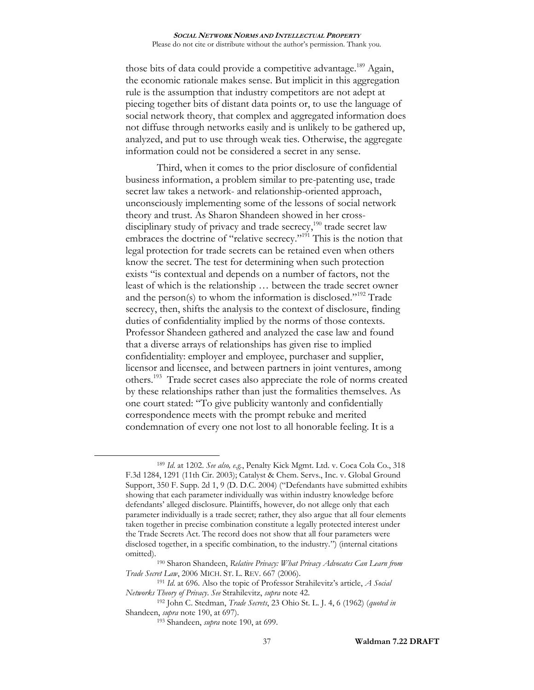those bits of data could provide a competitive advantage.<sup>189</sup> Again, the economic rationale makes sense. But implicit in this aggregation rule is the assumption that industry competitors are not adept at piecing together bits of distant data points or, to use the language of social network theory, that complex and aggregated information does not diffuse through networks easily and is unlikely to be gathered up, analyzed, and put to use through weak ties. Otherwise, the aggregate information could not be considered a secret in any sense.

<span id="page-36-0"></span>Third, when it comes to the prior disclosure of confidential business information, a problem similar to pre-patenting use, trade secret law takes a network- and relationship-oriented approach, unconsciously implementing some of the lessons of social network theory and trust. As Sharon Shandeen showed in her crossdisciplinary study of privacy and trade secrecy,<sup>190</sup> trade secret law embraces the doctrine of "relative secrecy."<sup>191</sup> This is the notion that legal protection for trade secrets can be retained even when others know the secret. The test for determining when such protection exists "is contextual and depends on a number of factors, not the least of which is the relationship … between the trade secret owner and the person(s) to whom the information is disclosed."<sup>192</sup> Trade secrecy, then, shifts the analysis to the context of disclosure, finding duties of confidentiality implied by the norms of those contexts. Professor Shandeen gathered and analyzed the case law and found that a diverse arrays of relationships has given rise to implied confidentiality: employer and employee, purchaser and supplier, licensor and licensee, and between partners in joint ventures, among others.<sup>193</sup> Trade secret cases also appreciate the role of norms created by these relationships rather than just the formalities themselves. As one court stated: "To give publicity wantonly and confidentially correspondence meets with the prompt rebuke and merited condemnation of every one not lost to all honorable feeling. It is a

<sup>189</sup> *Id*. at 1202. *See also, e.g.*, Penalty Kick Mgmt. Ltd. v. Coca Cola Co., 318 F.3d 1284, 1291 (11th Cir. 2003); Catalyst & Chem. Servs., Inc. v. Global Ground Support, 350 F. Supp. 2d 1, 9 (D. D.C. 2004) ("Defendants have submitted exhibits showing that each parameter individually was within industry knowledge before defendants' alleged disclosure. Plaintiffs, however, do not allege only that each parameter individually is a trade secret; rather, they also argue that all four elements taken together in precise combination constitute a legally protected interest under the Trade Secrets Act. The record does not show that all four parameters were disclosed together, in a specific combination, to the industry.") (internal citations omitted).

<sup>190</sup> Sharon Shandeen, *Relative Privacy: What Privacy Advocates Can Learn from Trade Secret Law*, 2006 MICH. ST. L. REV. 667 (2006).

<sup>191</sup> *Id*. at 696. Also the topic of Professor Strahilevitz's article, *A Social Networks Theory of Privacy*. *See* Strahilevitz, *supra* note [42.](#page-9-2)

<sup>192</sup> John C. Stedman, *Trade Secrets*, 23 Ohio St. L. J. 4, 6 (1962) (*quoted in* Shandeen, *supra* note [190,](#page-36-0) at 697).

<sup>193</sup> Shandeen, *supra* note [190,](#page-36-0) at 699.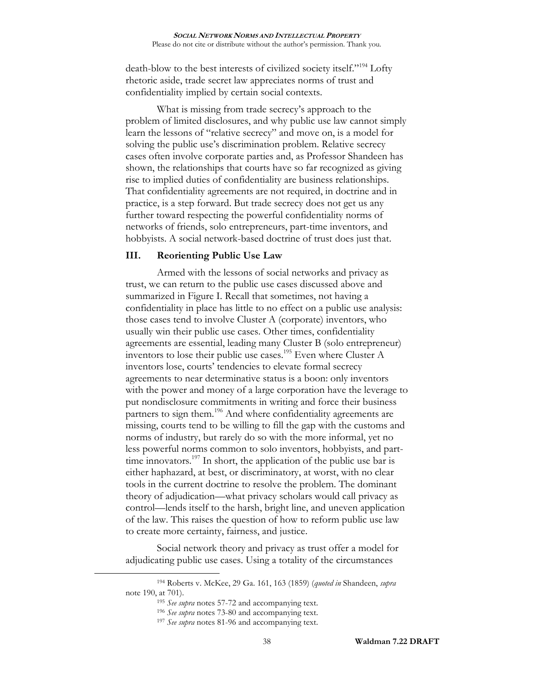<span id="page-37-0"></span>death-blow to the best interests of civilized society itself."<sup>194</sup> Lofty rhetoric aside, trade secret law appreciates norms of trust and confidentiality implied by certain social contexts.

What is missing from trade secrecy's approach to the problem of limited disclosures, and why public use law cannot simply learn the lessons of "relative secrecy" and move on, is a model for solving the public use's discrimination problem. Relative secrecy cases often involve corporate parties and, as Professor Shandeen has shown, the relationships that courts have so far recognized as giving rise to implied duties of confidentiality are business relationships. That confidentiality agreements are not required, in doctrine and in practice, is a step forward. But trade secrecy does not get us any further toward respecting the powerful confidentiality norms of networks of friends, solo entrepreneurs, part-time inventors, and hobbyists. A social network-based doctrine of trust does just that.

## **III. Reorienting Public Use Law**

Armed with the lessons of social networks and privacy as trust, we can return to the public use cases discussed above and summarized in Figure I. Recall that sometimes, not having a confidentiality in place has little to no effect on a public use analysis: those cases tend to involve Cluster A (corporate) inventors, who usually win their public use cases. Other times, confidentiality agreements are essential, leading many Cluster B (solo entrepreneur) inventors to lose their public use cases.<sup>195</sup> Even where Cluster A inventors lose, courts' tendencies to elevate formal secrecy agreements to near determinative status is a boon: only inventors with the power and money of a large corporation have the leverage to put nondisclosure commitments in writing and force their business partners to sign them.<sup>196</sup> And where confidentiality agreements are missing, courts tend to be willing to fill the gap with the customs and norms of industry, but rarely do so with the more informal, yet no less powerful norms common to solo inventors, hobbyists, and parttime innovators.<sup>197</sup> In short, the application of the public use bar is either haphazard, at best, or discriminatory, at worst, with no clear tools in the current doctrine to resolve the problem. The dominant theory of adjudication—what privacy scholars would call privacy as control—lends itself to the harsh, bright line, and uneven application of the law. This raises the question of how to reform public use law to create more certainty, fairness, and justice.

Social network theory and privacy as trust offer a model for adjudicating public use cases. Using a totality of the circumstances

<sup>194</sup> Roberts v. McKee, 29 Ga. 161, 163 (1859) (*quoted in* Shandeen, *supra* note [190,](#page-36-0) at 701).

<sup>195</sup> *See supra* notes [57-](#page-14-0)[72](#page-15-0) and accompanying text.

<sup>196</sup> *See supra* notes [73-](#page-16-0)[80](#page-16-1) and accompanying text.

<sup>197</sup> *See supra* notes [81-](#page-17-0)[96](#page-19-0) and accompanying text.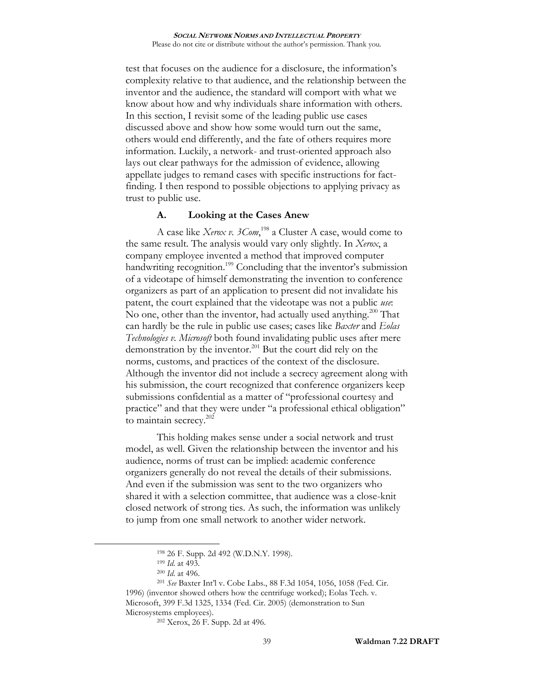test that focuses on the audience for a disclosure, the information's complexity relative to that audience, and the relationship between the inventor and the audience, the standard will comport with what we know about how and why individuals share information with others. In this section, I revisit some of the leading public use cases discussed above and show how some would turn out the same, others would end differently, and the fate of others requires more information. Luckily, a network- and trust-oriented approach also lays out clear pathways for the admission of evidence, allowing appellate judges to remand cases with specific instructions for factfinding. I then respond to possible objections to applying privacy as trust to public use.

# **A. Looking at the Cases Anew**

A case like *Xerox v. 3Com*, <sup>198</sup> a Cluster A case, would come to the same result. The analysis would vary only slightly. In *Xerox*, a company employee invented a method that improved computer handwriting recognition.<sup>199</sup> Concluding that the inventor's submission of a videotape of himself demonstrating the invention to conference organizers as part of an application to present did not invalidate his patent, the court explained that the videotape was not a public *use*: No one, other than the inventor, had actually used anything.<sup>200</sup> That can hardly be the rule in public use cases; cases like *Baxter* and *Eolas Technologies v. Microsoft* both found invalidating public uses after mere demonstration by the inventor.<sup>201</sup> But the court did rely on the norms, customs, and practices of the context of the disclosure. Although the inventor did not include a secrecy agreement along with his submission, the court recognized that conference organizers keep submissions confidential as a matter of "professional courtesy and practice" and that they were under "a professional ethical obligation" to maintain secrecy.<sup>202</sup>

This holding makes sense under a social network and trust model, as well. Given the relationship between the inventor and his audience, norms of trust can be implied: academic conference organizers generally do not reveal the details of their submissions. And even if the submission was sent to the two organizers who shared it with a selection committee, that audience was a close-knit closed network of strong ties. As such, the information was unlikely to jump from one small network to another wider network.

<sup>198</sup> 26 F. Supp. 2d 492 (W.D.N.Y. 1998).

<sup>199</sup> *Id*. at 493.

<sup>200</sup> *Id*. at 496.

<sup>201</sup> *See* Baxter Int'l v. Cobe Labs., 88 F.3d 1054, 1056, 1058 (Fed. Cir. 1996) (inventor showed others how the centrifuge worked); Eolas Tech. v. Microsoft, 399 F.3d 1325, 1334 (Fed. Cir. 2005) (demonstration to Sun Microsystems employees).

<sup>202</sup> Xerox, 26 F. Supp. 2d at 496.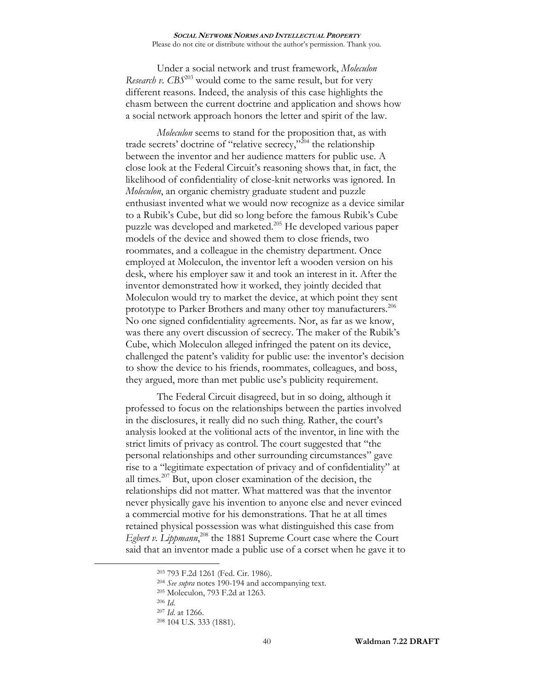Under a social network and trust framework, *Moleculon Research v. CBS*<sup>203</sup> would come to the same result, but for very different reasons. Indeed, the analysis of this case highlights the chasm between the current doctrine and application and shows how a social network approach honors the letter and spirit of the law.

*Moleculon* seems to stand for the proposition that, as with trade secrets' doctrine of "relative secrecy,"<sup> $204$ </sup> the relationship between the inventor and her audience matters for public use. A close look at the Federal Circuit's reasoning shows that, in fact, the likelihood of confidentiality of close-knit networks was ignored. In *Moleculon*, an organic chemistry graduate student and puzzle enthusiast invented what we would now recognize as a device similar to a Rubik's Cube, but did so long before the famous Rubik's Cube puzzle was developed and marketed.<sup>205</sup> He developed various paper models of the device and showed them to close friends, two roommates, and a colleague in the chemistry department. Once employed at Moleculon, the inventor left a wooden version on his desk, where his employer saw it and took an interest in it. After the inventor demonstrated how it worked, they jointly decided that Moleculon would try to market the device, at which point they sent prototype to Parker Brothers and many other toy manufacturers.<sup>206</sup> No one signed confidentiality agreements. Nor, as far as we know, was there any overt discussion of secrecy. The maker of the Rubik's Cube, which Moleculon alleged infringed the patent on its device, challenged the patent's validity for public use: the inventor's decision to show the device to his friends, roommates, colleagues, and boss, they argued, more than met public use's publicity requirement.

The Federal Circuit disagreed, but in so doing, although it professed to focus on the relationships between the parties involved in the disclosures, it really did no such thing. Rather, the court's analysis looked at the volitional acts of the inventor, in line with the strict limits of privacy as control. The court suggested that "the personal relationships and other surrounding circumstances" gave rise to a "legitimate expectation of privacy and of confidentiality" at all times.<sup>207</sup> But, upon closer examination of the decision, the relationships did not matter. What mattered was that the inventor never physically gave his invention to anyone else and never evinced a commercial motive for his demonstrations. That he at all times retained physical possession was what distinguished this case from Egbert v. Lippmann,<sup>208</sup> the 1881 Supreme Court case where the Court said that an inventor made a public use of a corset when he gave it to

<sup>203</sup> 793 F.2d 1261 (Fed. Cir. 1986).

<sup>204</sup> *See supra* notes [190-](#page-36-0)[194](#page-37-0) and accompanying text.

<sup>205</sup> Moleculon, 793 F.2d at 1263.

<sup>206</sup> *Id*.

<sup>207</sup> *Id*. at 1266.

<sup>208</sup> 104 U.S. 333 (1881).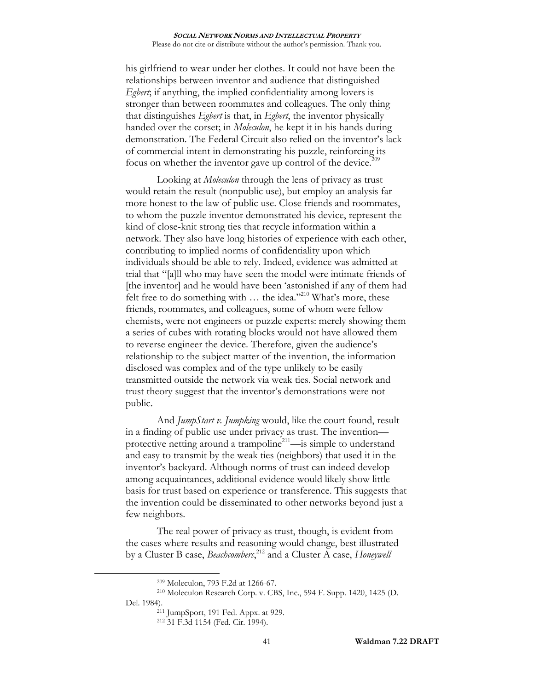his girlfriend to wear under her clothes. It could not have been the relationships between inventor and audience that distinguished *Egbert*; if anything, the implied confidentiality among lovers is stronger than between roommates and colleagues. The only thing that distinguishes *Egbert* is that, in *Egbert*, the inventor physically handed over the corset; in *Moleculon*, he kept it in his hands during demonstration. The Federal Circuit also relied on the inventor's lack of commercial intent in demonstrating his puzzle, reinforcing its focus on whether the inventor gave up control of the device.<sup>209</sup>

Looking at *Moleculon* through the lens of privacy as trust would retain the result (nonpublic use), but employ an analysis far more honest to the law of public use. Close friends and roommates, to whom the puzzle inventor demonstrated his device, represent the kind of close-knit strong ties that recycle information within a network. They also have long histories of experience with each other, contributing to implied norms of confidentiality upon which individuals should be able to rely. Indeed, evidence was admitted at trial that "[a]ll who may have seen the model were intimate friends of [the inventor] and he would have been 'astonished if any of them had felt free to do something with  $\ldots$  the idea."<sup>210</sup> What's more, these friends, roommates, and colleagues, some of whom were fellow chemists, were not engineers or puzzle experts: merely showing them a series of cubes with rotating blocks would not have allowed them to reverse engineer the device. Therefore, given the audience's relationship to the subject matter of the invention, the information disclosed was complex and of the type unlikely to be easily transmitted outside the network via weak ties. Social network and trust theory suggest that the inventor's demonstrations were not public.

And *JumpStart v. Jumpking* would, like the court found, result in a finding of public use under privacy as trust. The invention protective netting around a trampoline<sup>211</sup>—is simple to understand and easy to transmit by the weak ties (neighbors) that used it in the inventor's backyard. Although norms of trust can indeed develop among acquaintances, additional evidence would likely show little basis for trust based on experience or transference. This suggests that the invention could be disseminated to other networks beyond just a few neighbors.

The real power of privacy as trust, though, is evident from the cases where results and reasoning would change, best illustrated by a Cluster B case, *Beachcombers*, <sup>212</sup> and a Cluster A case, *Honeywell* 

<sup>209</sup> Moleculon, 793 F.2d at 1266-67.

<sup>210</sup> Moleculon Research Corp. v. CBS, Inc., 594 F. Supp. 1420, 1425 (D. Del. 1984).

<sup>211</sup> JumpSport, 191 Fed. Appx. at 929.

<sup>212</sup> 31 F.3d 1154 (Fed. Cir. 1994).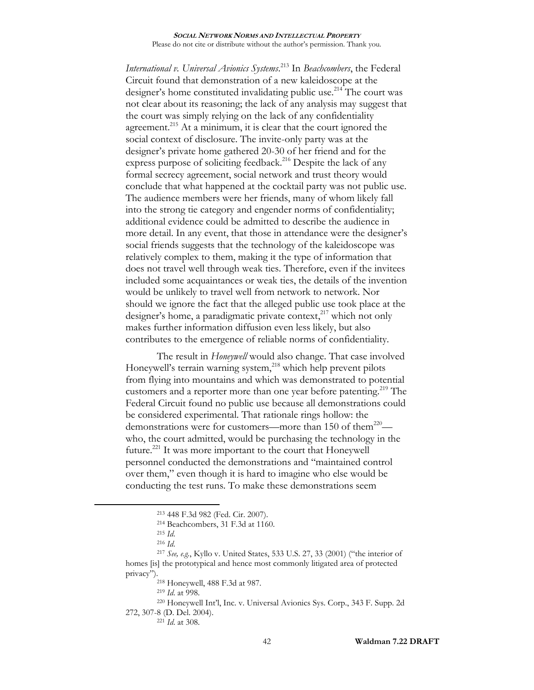*International v. Universal Avionics Systems*. <sup>213</sup> In *Beachcombers*, the Federal Circuit found that demonstration of a new kaleidoscope at the designer's home constituted invalidating public use.<sup>214</sup> The court was not clear about its reasoning; the lack of any analysis may suggest that the court was simply relying on the lack of any confidentiality agreement.<sup>215</sup> At a minimum, it is clear that the court ignored the social context of disclosure. The invite-only party was at the designer's private home gathered 20-30 of her friend and for the express purpose of soliciting feedback.<sup>216</sup> Despite the lack of any formal secrecy agreement, social network and trust theory would conclude that what happened at the cocktail party was not public use. The audience members were her friends, many of whom likely fall into the strong tie category and engender norms of confidentiality; additional evidence could be admitted to describe the audience in more detail. In any event, that those in attendance were the designer's social friends suggests that the technology of the kaleidoscope was relatively complex to them, making it the type of information that does not travel well through weak ties. Therefore, even if the invitees included some acquaintances or weak ties, the details of the invention would be unlikely to travel well from network to network. Nor should we ignore the fact that the alleged public use took place at the designer's home, a paradigmatic private context, <sup>217</sup> which not only makes further information diffusion even less likely, but also contributes to the emergence of reliable norms of confidentiality.

The result in *Honeywell* would also change. That case involved Honeywell's terrain warning system,<sup>218</sup> which help prevent pilots from flying into mountains and which was demonstrated to potential customers and a reporter more than one year before patenting.<sup>219</sup> The Federal Circuit found no public use because all demonstrations could be considered experimental. That rationale rings hollow: the demonstrations were for customers—more than 150 of them<sup>220</sup> who, the court admitted, would be purchasing the technology in the future.<sup>221</sup> It was more important to the court that Honeywell personnel conducted the demonstrations and "maintained control over them," even though it is hard to imagine who else would be conducting the test runs. To make these demonstrations seem

<sup>213</sup> 448 F.3d 982 (Fed. Cir. 2007).

<sup>214</sup> Beachcombers, 31 F.3d at 1160.

<sup>215</sup> *Id*.

<sup>216</sup> *Id*.

<sup>217</sup> *See, e.g.*, Kyllo v. United States, 533 U.S. 27, 33 (2001) ("the interior of homes [is] the prototypical and hence most commonly litigated area of protected privacy").

<sup>218</sup> Honeywell, 488 F.3d at 987.

<sup>219</sup> *Id*. at 998.

<sup>220</sup> Honeywell Int'l, Inc. v. Universal Avionics Sys. Corp., 343 F. Supp. 2d 272, 307-8 (D. Del. 2004).

<sup>221</sup> *Id*. at 308.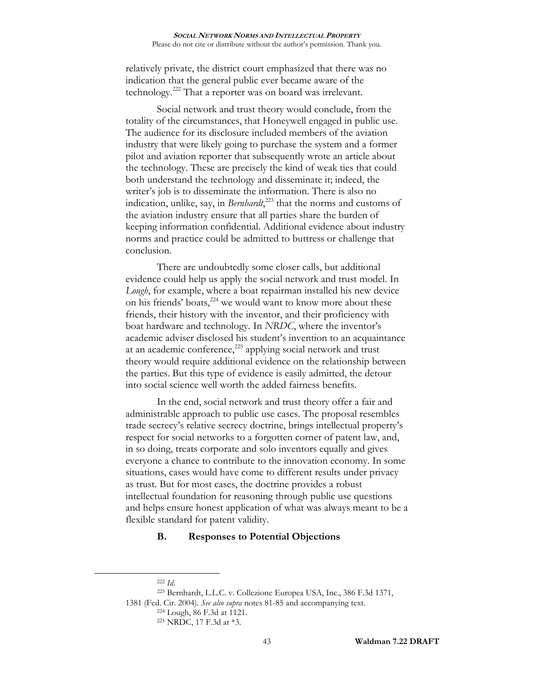relatively private, the district court emphasized that there was no indication that the general public ever became aware of the technology.<sup>222</sup> That a reporter was on board was irrelevant.

Social network and trust theory would conclude, from the totality of the circumstances, that Honeywell engaged in public use. The audience for its disclosure included members of the aviation industry that were likely going to purchase the system and a former pilot and aviation reporter that subsequently wrote an article about the technology. These are precisely the kind of weak ties that could both understand the technology and disseminate it; indeed, the writer's job is to disseminate the information. There is also no indication, unlike, say, in *Bernhardt*, <sup>223</sup> that the norms and customs of the aviation industry ensure that all parties share the burden of keeping information confidential. Additional evidence about industry norms and practice could be admitted to buttress or challenge that conclusion.

There are undoubtedly some closer calls, but additional evidence could help us apply the social network and trust model. In *Lough*, for example, where a boat repairman installed his new device on his friends' boats, $224$  we would want to know more about these friends, their history with the inventor, and their proficiency with boat hardware and technology. In *NRDC*, where the inventor's academic adviser disclosed his student's invention to an acquaintance at an academic conference,<sup>225</sup> applying social network and trust theory would require additional evidence on the relationship between the parties. But this type of evidence is easily admitted, the detour into social science well worth the added fairness benefits.

In the end, social network and trust theory offer a fair and administrable approach to public use cases. The proposal resembles trade secrecy's relative secrecy doctrine, brings intellectual property's respect for social networks to a forgotten corner of patent law, and, in so doing, treats corporate and solo inventors equally and gives everyone a chance to contribute to the innovation economy. In some situations, cases would have come to different results under privacy as trust. But for most cases, the doctrine provides a robust intellectual foundation for reasoning through public use questions and helps ensure honest application of what was always meant to be a flexible standard for patent validity.

## **B. Responses to Potential Objections**

<sup>222</sup> *Id*.

<sup>223</sup> Bernhardt, L.L.C. v. Collezione Europea USA, Inc., 386 F.3d 1371, 1381 (Fed. Cir. 2004). *See also supra* notes [81-](#page-17-0)[85](#page-18-0) and accompanying text. <sup>224</sup> Lough, 86 F.3d at 1121.

<sup>225</sup> NRDC, 17 F.3d at \*3.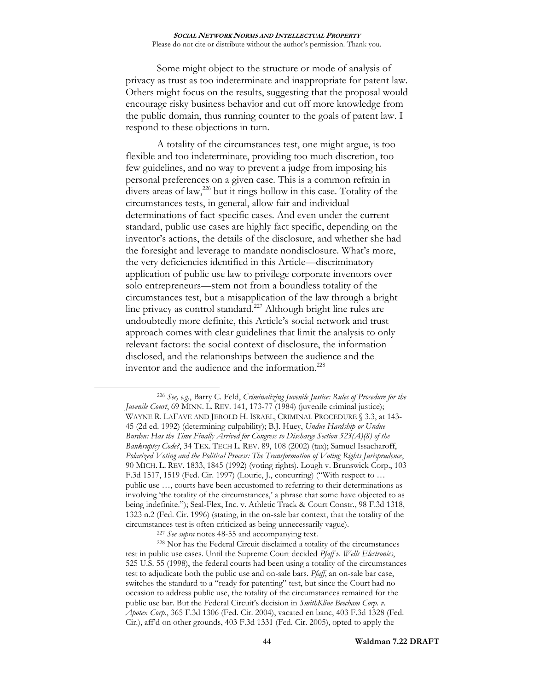Some might object to the structure or mode of analysis of privacy as trust as too indeterminate and inappropriate for patent law. Others might focus on the results, suggesting that the proposal would encourage risky business behavior and cut off more knowledge from the public domain, thus running counter to the goals of patent law. I respond to these objections in turn.

A totality of the circumstances test, one might argue, is too flexible and too indeterminate, providing too much discretion, too few guidelines, and no way to prevent a judge from imposing his personal preferences on a given case. This is a common refrain in divers areas of law,<sup>226</sup> but it rings hollow in this case. Totality of the circumstances tests, in general, allow fair and individual determinations of fact-specific cases. And even under the current standard, public use cases are highly fact specific, depending on the inventor's actions, the details of the disclosure, and whether she had the foresight and leverage to mandate nondisclosure. What's more, the very deficiencies identified in this Article—discriminatory application of public use law to privilege corporate inventors over solo entrepreneurs—stem not from a boundless totality of the circumstances test, but a misapplication of the law through a bright line privacy as control standard.<sup>227</sup> Although bright line rules are undoubtedly more definite, this Article's social network and trust approach comes with clear guidelines that limit the analysis to only relevant factors: the social context of disclosure, the information disclosed, and the relationships between the audience and the inventor and the audience and the information.<sup>228</sup>

<sup>226</sup> *See, e.g.*, Barry C. Feld, *Criminalizing Juvenile Justice: Rules of Procedure for the Juvenile Court*, 69 MINN. L. REV. 141, 173-77 (1984) (juvenile criminal justice); WAYNE R. LAFAVE AND JEROLD H. ISRAEL, CRIMINAL PROCEDURE § 3.3, at 143- 45 (2d ed. 1992) (determining culpability); B.J. Huey, *Undue Hardship or Undue Burden: Has the Time Finally Arrived for Congress to Discharge Section 523(A)(8) of the Bankruptcy Code?*, 34 TEX. TECH L. REV. 89, 108 (2002) (tax); Samuel Issacharoff, *Polarized Voting and the Political Process: The Transformation of Voting Rights Jurisprudence*, 90 MICH. L. REV. 1833, 1845 (1992) (voting rights). Lough v. Brunswick Corp., 103 F.3d 1517, 1519 (Fed. Cir. 1997) (Lourie, J., concurring) ("With respect to … public use …, courts have been accustomed to referring to their determinations as involving 'the totality of the circumstances,' a phrase that some have objected to as being indefinite."); Seal-Flex, Inc. v. Athletic Track & Court Constr., 98 F.3d 1318, 1323 n.2 (Fed. Cir. 1996) (stating, in the on-sale bar context, that the totality of the circumstances test is often criticized as being unnecessarily vague).

<sup>227</sup> *See supra* notes [48-](#page-9-3)[55](#page-10-0) and accompanying text.

<sup>228</sup> Nor has the Federal Circuit disclaimed a totality of the circumstances test in public use cases. Until the Supreme Court decided *Pfaff v. Wells Electronics*, 525 U.S. 55 (1998), the federal courts had been using a totality of the circumstances test to adjudicate both the public use and on-sale bars. *Pfaff*, an on-sale bar case, switches the standard to a "ready for patenting" test, but since the Court had no occasion to address public use, the totality of the circumstances remained for the public use bar. But the Federal Circuit's decision in *SmithKline Beecham Corp. v. Apotex Corp*., 365 F.3d 1306 (Fed. Cir. 2004), vacated en banc, 403 F.3d 1328 (Fed. Cir.), aff'd on other grounds, 403 F.3d 1331 (Fed. Cir. 2005), opted to apply the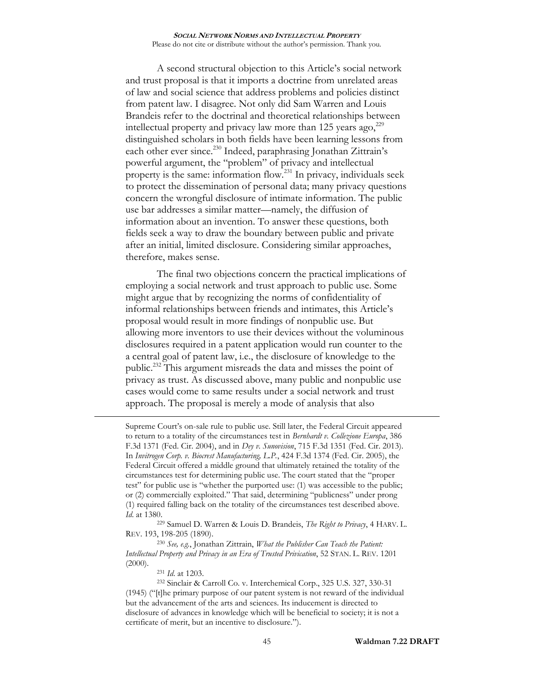A second structural objection to this Article's social network and trust proposal is that it imports a doctrine from unrelated areas of law and social science that address problems and policies distinct from patent law. I disagree. Not only did Sam Warren and Louis Brandeis refer to the doctrinal and theoretical relationships between intellectual property and privacy law more than 125 years ago, $^{229}$ distinguished scholars in both fields have been learning lessons from each other ever since.<sup>230</sup> Indeed, paraphrasing Jonathan Zittrain's powerful argument, the "problem" of privacy and intellectual property is the same: information flow.<sup>231</sup> In privacy, individuals seek to protect the dissemination of personal data; many privacy questions concern the wrongful disclosure of intimate information. The public use bar addresses a similar matter—namely, the diffusion of information about an invention. To answer these questions, both fields seek a way to draw the boundary between public and private after an initial, limited disclosure. Considering similar approaches, therefore, makes sense.

The final two objections concern the practical implications of employing a social network and trust approach to public use. Some might argue that by recognizing the norms of confidentiality of informal relationships between friends and intimates, this Article's proposal would result in more findings of nonpublic use. But allowing more inventors to use their devices without the voluminous disclosures required in a patent application would run counter to the a central goal of patent law, i.e., the disclosure of knowledge to the public.<sup>232</sup> This argument misreads the data and misses the point of privacy as trust. As discussed above, many public and nonpublic use cases would come to same results under a social network and trust approach. The proposal is merely a mode of analysis that also

Supreme Court's on-sale rule to public use. Still later, the Federal Circuit appeared to return to a totality of the circumstances test in *Bernhardt v. Collezione Europa*, 386 F.3d 1371 (Fed. Cir. 2004), and in *Dey v. Sunovision*, 715 F.3d 1351 (Fed. Cir. 2013). In *Invitrogen Corp. v. Biocrest Manufacturing, L.P.*, 424 F.3d 1374 (Fed. Cir. 2005), the Federal Circuit offered a middle ground that ultimately retained the totality of the circumstances test for determining public use. The court stated that the "proper test" for public use is "whether the purported use: (1) was accessible to the public; or (2) commercially exploited." That said, determining "publicness" under prong (1) required falling back on the totality of the circumstances test described above. *Id*. at 1380.

<sup>229</sup> Samuel D. Warren & Louis D. Brandeis, *The Right to Privacy*, 4 HARV. L. REV. 193, 198-205 (1890).

<sup>230</sup> *See, e.g.*, Jonathan Zittrain, *What the Publisher Can Teach the Patient: Intellectual Property and Privacy in an Era of Trusted Privication*, 52 STAN. L. REV. 1201  $(2000).$ 

<sup>231</sup> *Id*. at 1203.

 $\overline{a}$ 

<sup>232</sup> Sinclair & Carroll Co. v. Interchemical Corp., 325 U.S. 327, 330-31 (1945) ("[t]he primary purpose of our patent system is not reward of the individual but the advancement of the arts and sciences. Its inducement is directed to disclosure of advances in knowledge which will be beneficial to society; it is not a certificate of merit, but an incentive to disclosure.").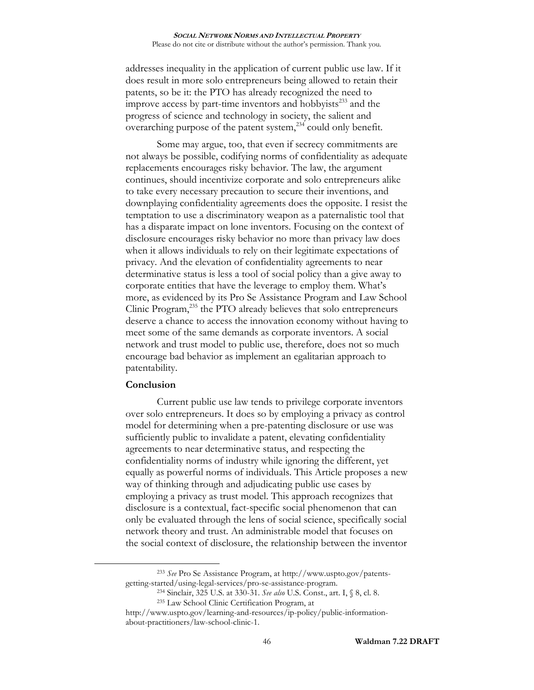addresses inequality in the application of current public use law. If it does result in more solo entrepreneurs being allowed to retain their patents, so be it: the PTO has already recognized the need to improve access by part-time inventors and hobbyists $^{233}$  and the progress of science and technology in society, the salient and overarching purpose of the patent system, $^{234}$  could only benefit.

Some may argue, too, that even if secrecy commitments are not always be possible, codifying norms of confidentiality as adequate replacements encourages risky behavior. The law, the argument continues, should incentivize corporate and solo entrepreneurs alike to take every necessary precaution to secure their inventions, and downplaying confidentiality agreements does the opposite. I resist the temptation to use a discriminatory weapon as a paternalistic tool that has a disparate impact on lone inventors. Focusing on the context of disclosure encourages risky behavior no more than privacy law does when it allows individuals to rely on their legitimate expectations of privacy. And the elevation of confidentiality agreements to near determinative status is less a tool of social policy than a give away to corporate entities that have the leverage to employ them. What's more, as evidenced by its Pro Se Assistance Program and Law School Clinic Program,<sup>235</sup> the PTO already believes that solo entrepreneurs deserve a chance to access the innovation economy without having to meet some of the same demands as corporate inventors. A social network and trust model to public use, therefore, does not so much encourage bad behavior as implement an egalitarian approach to patentability.

## **Conclusion**

 $\overline{a}$ 

Current public use law tends to privilege corporate inventors over solo entrepreneurs. It does so by employing a privacy as control model for determining when a pre-patenting disclosure or use was sufficiently public to invalidate a patent, elevating confidentiality agreements to near determinative status, and respecting the confidentiality norms of industry while ignoring the different, yet equally as powerful norms of individuals. This Article proposes a new way of thinking through and adjudicating public use cases by employing a privacy as trust model. This approach recognizes that disclosure is a contextual, fact-specific social phenomenon that can only be evaluated through the lens of social science, specifically social network theory and trust. An administrable model that focuses on the social context of disclosure, the relationship between the inventor

<sup>233</sup> *See* Pro Se Assistance Program, at http://www.uspto.gov/patentsgetting-started/using-legal-services/pro-se-assistance-program.

<sup>234</sup> Sinclair, 325 U.S. at 330-31. *See also* U.S. Const., art. I, § 8, cl. 8.

<sup>235</sup> Law School Clinic Certification Program, at

http://www.uspto.gov/learning-and-resources/ip-policy/public-informationabout-practitioners/law-school-clinic-1.